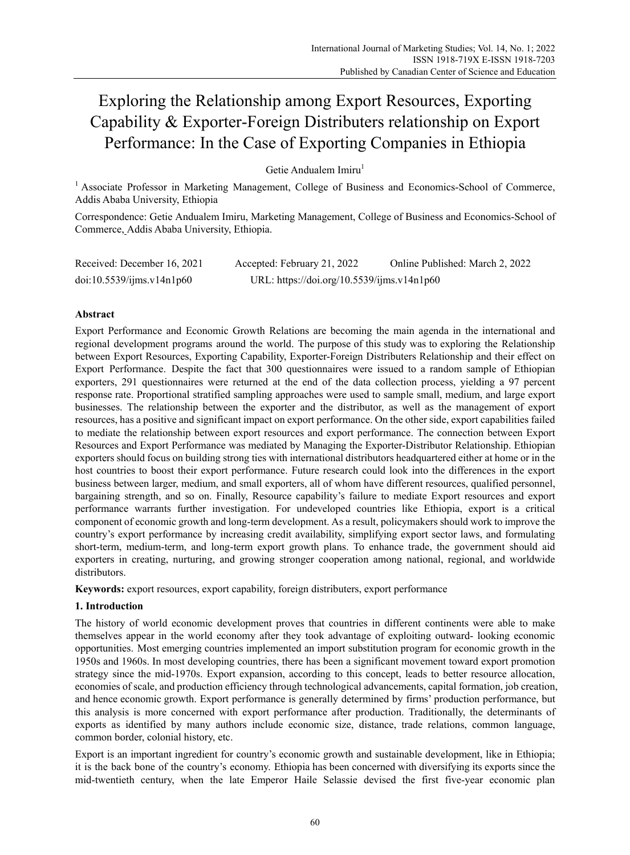# Exploring the Relationship among Export Resources, Exporting Capability & Exporter-Foreign Distributers relationship on Export Performance: In the Case of Exporting Companies in Ethiopia

Getie Andualem Imiru<sup>1</sup>

<sup>1</sup> Associate Professor in Marketing Management, College of Business and Economics-School of Commerce, Addis Ababa University, Ethiopia

Correspondence: Getie Andualem Imiru, Marketing Management, College of Business and Economics-School of Commerce, Addis Ababa University, Ethiopia.

| Received: December 16, 2021 | Accepted: February 21, 2022                | Online Published: March 2, 2022 |
|-----------------------------|--------------------------------------------|---------------------------------|
| doi:10.5539/ijms.v14n1p60   | URL: https://doi.org/10.5539/ijms.v14n1p60 |                                 |

# **Abstract**

Export Performance and Economic Growth Relations are becoming the main agenda in the international and regional development programs around the world. The purpose of this study was to exploring the Relationship between Export Resources, Exporting Capability, Exporter-Foreign Distributers Relationship and their effect on Export Performance. Despite the fact that 300 questionnaires were issued to a random sample of Ethiopian exporters, 291 questionnaires were returned at the end of the data collection process, yielding a 97 percent response rate. Proportional stratified sampling approaches were used to sample small, medium, and large export businesses. The relationship between the exporter and the distributor, as well as the management of export resources, has a positive and significant impact on export performance. On the other side, export capabilities failed to mediate the relationship between export resources and export performance. The connection between Export Resources and Export Performance was mediated by Managing the Exporter-Distributor Relationship. Ethiopian exporters should focus on building strong ties with international distributors headquartered either at home or in the host countries to boost their export performance. Future research could look into the differences in the export business between larger, medium, and small exporters, all of whom have different resources, qualified personnel, bargaining strength, and so on. Finally, Resource capability's failure to mediate Export resources and export performance warrants further investigation. For undeveloped countries like Ethiopia, export is a critical component of economic growth and long-term development. As a result, policymakers should work to improve the country's export performance by increasing credit availability, simplifying export sector laws, and formulating short-term, medium-term, and long-term export growth plans. To enhance trade, the government should aid exporters in creating, nurturing, and growing stronger cooperation among national, regional, and worldwide distributors.

**Keywords:** export resources, export capability, foreign distributers, export performance

# **1. Introduction**

The history of world economic development proves that countries in different continents were able to make themselves appear in the world economy after they took advantage of exploiting outward- looking economic opportunities. Most emerging countries implemented an import substitution program for economic growth in the 1950s and 1960s. In most developing countries, there has been a significant movement toward export promotion strategy since the mid-1970s. Export expansion, according to this concept, leads to better resource allocation, economies of scale, and production efficiency through technological advancements, capital formation, job creation, and hence economic growth. Export performance is generally determined by firms' production performance, but this analysis is more concerned with export performance after production. Traditionally, the determinants of exports as identified by many authors include economic size, distance, trade relations, common language, common border, colonial history, etc.

Export is an important ingredient for country's economic growth and sustainable development, like in Ethiopia; it is the back bone of the country's economy. Ethiopia has been concerned with diversifying its exports since the mid-twentieth century, when the late Emperor Haile Selassie devised the first five-year economic plan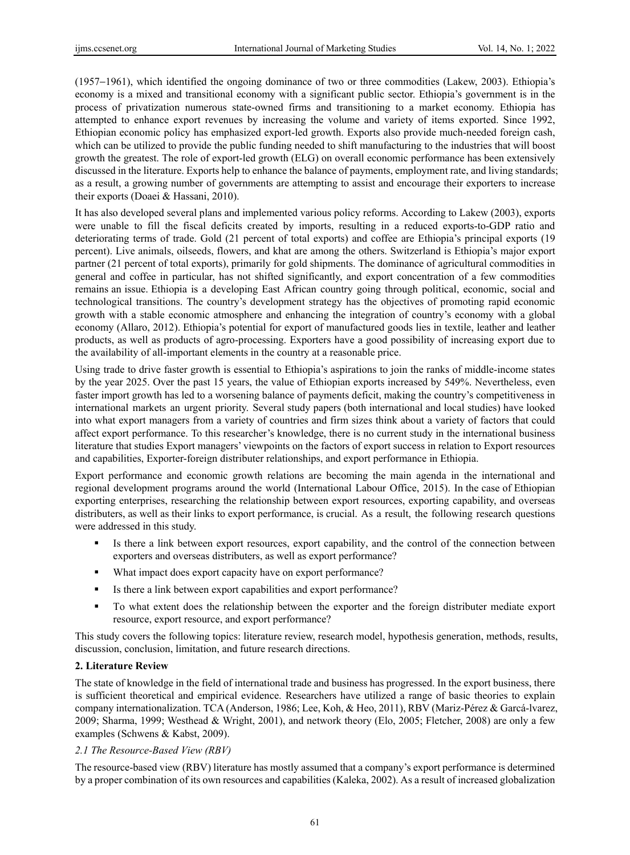(1957−1961), which identified the ongoing dominance of two or three commodities (Lakew, 2003). Ethiopia's economy is a mixed and transitional economy with a significant public sector. Ethiopia's government is in the process of privatization numerous state-owned firms and transitioning to a market economy. Ethiopia has attempted to enhance export revenues by increasing the volume and variety of items exported. Since 1992, Ethiopian economic policy has emphasized export-led growth. Exports also provide much-needed foreign cash, which can be utilized to provide the public funding needed to shift manufacturing to the industries that will boost growth the greatest. The role of export-led growth (ELG) on overall economic performance has been extensively discussed in the literature. Exports help to enhance the balance of payments, employment rate, and living standards; as a result, a growing number of governments are attempting to assist and encourage their exporters to increase their exports (Doaei & Hassani, 2010).

It has also developed several plans and implemented various policy reforms. According to Lakew (2003), exports were unable to fill the fiscal deficits created by imports, resulting in a reduced exports-to-GDP ratio and deteriorating terms of trade. Gold (21 percent of total exports) and coffee are Ethiopia's principal exports (19 percent). Live animals, oilseeds, flowers, and khat are among the others. Switzerland is Ethiopia's major export partner (21 percent of total exports), primarily for gold shipments. The dominance of agricultural commodities in general and coffee in particular, has not shifted significantly, and export concentration of a few commodities remains an issue. Ethiopia is a developing East African country going through political, economic, social and technological transitions. The country's development strategy has the objectives of promoting rapid economic growth with a stable economic atmosphere and enhancing the integration of country's economy with a global economy (Allaro, 2012). Ethiopia's potential for export of manufactured goods lies in textile, leather and leather products, as well as products of agro-processing. Exporters have a good possibility of increasing export due to the availability of all-important elements in the country at a reasonable price.

Using trade to drive faster growth is essential to Ethiopia's aspirations to join the ranks of middle-income states by the year 2025. Over the past 15 years, the value of Ethiopian exports increased by 549%. Nevertheless, even faster import growth has led to a worsening balance of payments deficit, making the country's competitiveness in international markets an urgent priority. Several study papers (both international and local studies) have looked into what export managers from a variety of countries and firm sizes think about a variety of factors that could affect export performance. To this researcher's knowledge, there is no current study in the international business literature that studies Export managers' viewpoints on the factors of export success in relation to Export resources and capabilities, Exporter-foreign distributer relationships, and export performance in Ethiopia.

Export performance and economic growth relations are becoming the main agenda in the international and regional development programs around the world (International Labour Office, 2015). In the case of Ethiopian exporting enterprises, researching the relationship between export resources, exporting capability, and overseas distributers, as well as their links to export performance, is crucial. As a result, the following research questions were addressed in this study.

- If Is there a link between export resources, export capability, and the control of the connection between exporters and overseas distributers, as well as export performance?
- What impact does export capacity have on export performance?
- Is there a link between export capabilities and export performance?
- To what extent does the relationship between the exporter and the foreign distributer mediate export resource, export resource, and export performance?

This study covers the following topics: literature review, research model, hypothesis generation, methods, results, discussion, conclusion, limitation, and future research directions.

#### **2. Literature Review**

The state of knowledge in the field of international trade and business has progressed. In the export business, there is sufficient theoretical and empirical evidence. Researchers have utilized a range of basic theories to explain company internationalization. TCA (Anderson, 1986; Lee, Koh, & Heo, 2011), RBV (Mariz-Pérez & Garcá-lvarez, 2009; Sharma, 1999; Westhead & Wright, 2001), and network theory (Elo, 2005; Fletcher, 2008) are only a few examples (Schwens & Kabst, 2009).

#### *2.1 The Resource-Based View (RBV)*

The resource-based view (RBV) literature has mostly assumed that a company's export performance is determined by a proper combination of its own resources and capabilities (Kaleka, 2002). As a result of increased globalization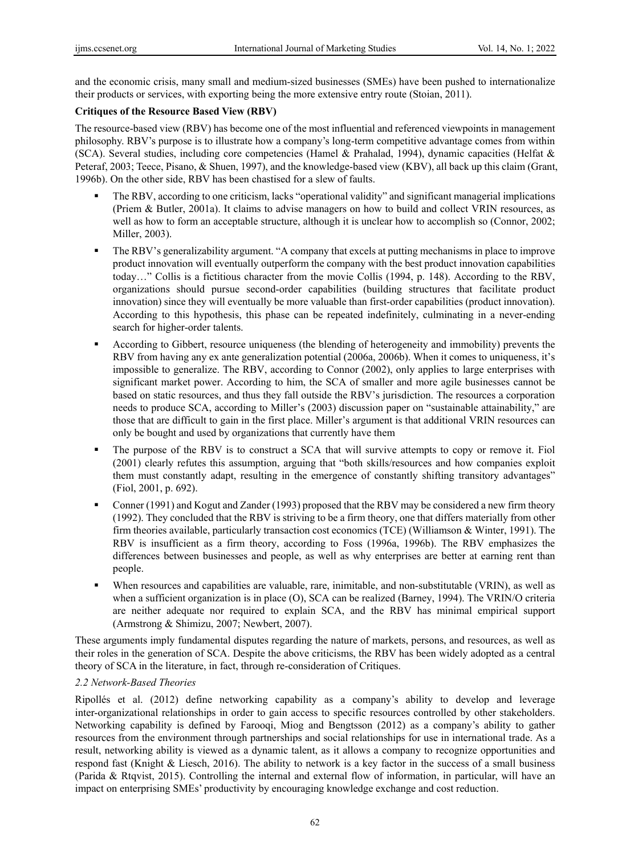and the economic crisis, many small and medium-sized businesses (SMEs) have been pushed to internationalize their products or services, with exporting being the more extensive entry route (Stoian, 2011).

# **Critiques of the Resource Based View (RBV)**

The resource-based view (RBV) has become one of the most influential and referenced viewpoints in management philosophy. RBV's purpose is to illustrate how a company's long-term competitive advantage comes from within (SCA). Several studies, including core competencies (Hamel & Prahalad, 1994), dynamic capacities (Helfat & Peteraf, 2003; Teece, Pisano, & Shuen, 1997), and the knowledge-based view (KBV), all back up this claim (Grant, 1996b). On the other side, RBV has been chastised for a slew of faults.

- The RBV, according to one criticism, lacks "operational validity" and significant managerial implications (Priem & Butler, 2001a). It claims to advise managers on how to build and collect VRIN resources, as well as how to form an acceptable structure, although it is unclear how to accomplish so (Connor, 2002; Miller, 2003).
- The RBV's generalizability argument. "A company that excels at putting mechanisms in place to improve product innovation will eventually outperform the company with the best product innovation capabilities today…" Collis is a fictitious character from the movie Collis (1994, p. 148). According to the RBV, organizations should pursue second-order capabilities (building structures that facilitate product innovation) since they will eventually be more valuable than first-order capabilities (product innovation). According to this hypothesis, this phase can be repeated indefinitely, culminating in a never-ending search for higher-order talents.
- According to Gibbert, resource uniqueness (the blending of heterogeneity and immobility) prevents the RBV from having any ex ante generalization potential (2006a, 2006b). When it comes to uniqueness, it's impossible to generalize. The RBV, according to Connor (2002), only applies to large enterprises with significant market power. According to him, the SCA of smaller and more agile businesses cannot be based on static resources, and thus they fall outside the RBV's jurisdiction. The resources a corporation needs to produce SCA, according to Miller's (2003) discussion paper on "sustainable attainability," are those that are difficult to gain in the first place. Miller's argument is that additional VRIN resources can only be bought and used by organizations that currently have them
- The purpose of the RBV is to construct a SCA that will survive attempts to copy or remove it. Fiol (2001) clearly refutes this assumption, arguing that "both skills/resources and how companies exploit them must constantly adapt, resulting in the emergence of constantly shifting transitory advantages" (Fiol, 2001, p. 692).
- Conner (1991) and Kogut and Zander (1993) proposed that the RBV may be considered a new firm theory (1992). They concluded that the RBV is striving to be a firm theory, one that differs materially from other firm theories available, particularly transaction cost economics (TCE) (Williamson & Winter, 1991). The RBV is insufficient as a firm theory, according to Foss (1996a, 1996b). The RBV emphasizes the differences between businesses and people, as well as why enterprises are better at earning rent than people.
- When resources and capabilities are valuable, rare, inimitable, and non-substitutable (VRIN), as well as when a sufficient organization is in place (O), SCA can be realized (Barney, 1994). The VRIN/O criteria are neither adequate nor required to explain SCA, and the RBV has minimal empirical support (Armstrong & Shimizu, 2007; Newbert, 2007).

These arguments imply fundamental disputes regarding the nature of markets, persons, and resources, as well as their roles in the generation of SCA. Despite the above criticisms, the RBV has been widely adopted as a central theory of SCA in the literature, in fact, through re-consideration of Critiques.

### *2.2 Network-Based Theories*

Ripollés et al. (2012) define networking capability as a company's ability to develop and leverage inter-organizational relationships in order to gain access to specific resources controlled by other stakeholders. Networking capability is defined by Farooqi, Miog and Bengtsson (2012) as a company's ability to gather resources from the environment through partnerships and social relationships for use in international trade. As a result, networking ability is viewed as a dynamic talent, as it allows a company to recognize opportunities and respond fast (Knight & Liesch, 2016). The ability to network is a key factor in the success of a small business (Parida & Rtqvist, 2015). Controlling the internal and external flow of information, in particular, will have an impact on enterprising SMEs' productivity by encouraging knowledge exchange and cost reduction.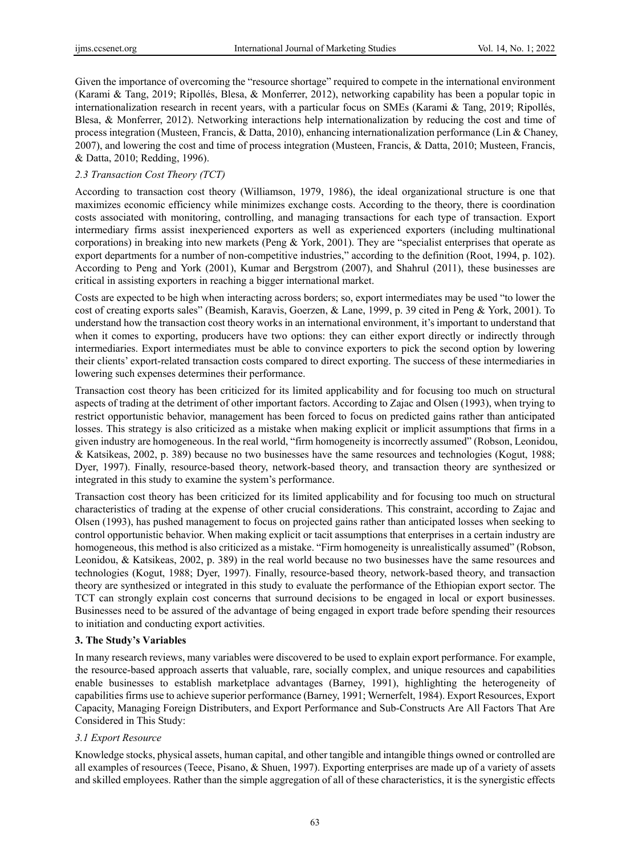Given the importance of overcoming the "resource shortage" required to compete in the international environment (Karami & Tang, 2019; Ripollés, Blesa, & Monferrer, 2012), networking capability has been a popular topic in internationalization research in recent years, with a particular focus on SMEs (Karami & Tang, 2019; Ripollés, Blesa, & Monferrer, 2012). Networking interactions help internationalization by reducing the cost and time of process integration (Musteen, Francis, & Datta, 2010), enhancing internationalization performance (Lin & Chaney, 2007), and lowering the cost and time of process integration (Musteen, Francis, & Datta, 2010; Musteen, Francis, & Datta, 2010; Redding, 1996).

# *2.3 Transaction Cost Theory (TCT)*

According to transaction cost theory (Williamson, 1979, 1986), the ideal organizational structure is one that maximizes economic efficiency while minimizes exchange costs. According to the theory, there is coordination costs associated with monitoring, controlling, and managing transactions for each type of transaction. Export intermediary firms assist inexperienced exporters as well as experienced exporters (including multinational corporations) in breaking into new markets (Peng & York, 2001). They are "specialist enterprises that operate as export departments for a number of non-competitive industries," according to the definition (Root, 1994, p. 102). According to Peng and York (2001), Kumar and Bergstrom (2007), and Shahrul (2011), these businesses are critical in assisting exporters in reaching a bigger international market.

Costs are expected to be high when interacting across borders; so, export intermediates may be used "to lower the cost of creating exports sales" (Beamish, Karavis, Goerzen, & Lane, 1999, p. 39 cited in Peng & York, 2001). To understand how the transaction cost theory works in an international environment, it's important to understand that when it comes to exporting, producers have two options: they can either export directly or indirectly through intermediaries. Export intermediates must be able to convince exporters to pick the second option by lowering their clients' export-related transaction costs compared to direct exporting. The success of these intermediaries in lowering such expenses determines their performance.

Transaction cost theory has been criticized for its limited applicability and for focusing too much on structural aspects of trading at the detriment of other important factors. According to Zajac and Olsen (1993), when trying to restrict opportunistic behavior, management has been forced to focus on predicted gains rather than anticipated losses. This strategy is also criticized as a mistake when making explicit or implicit assumptions that firms in a given industry are homogeneous. In the real world, "firm homogeneity is incorrectly assumed" (Robson, Leonidou, & Katsikeas, 2002, p. 389) because no two businesses have the same resources and technologies (Kogut, 1988; Dyer, 1997). Finally, resource-based theory, network-based theory, and transaction theory are synthesized or integrated in this study to examine the system's performance.

Transaction cost theory has been criticized for its limited applicability and for focusing too much on structural characteristics of trading at the expense of other crucial considerations. This constraint, according to Zajac and Olsen (1993), has pushed management to focus on projected gains rather than anticipated losses when seeking to control opportunistic behavior. When making explicit or tacit assumptions that enterprises in a certain industry are homogeneous, this method is also criticized as a mistake. "Firm homogeneity is unrealistically assumed" (Robson, Leonidou, & Katsikeas, 2002, p. 389) in the real world because no two businesses have the same resources and technologies (Kogut, 1988; Dyer, 1997). Finally, resource-based theory, network-based theory, and transaction theory are synthesized or integrated in this study to evaluate the performance of the Ethiopian export sector. The TCT can strongly explain cost concerns that surround decisions to be engaged in local or export businesses. Businesses need to be assured of the advantage of being engaged in export trade before spending their resources to initiation and conducting export activities.

### **3. The Study's Variables**

In many research reviews, many variables were discovered to be used to explain export performance. For example, the resource-based approach asserts that valuable, rare, socially complex, and unique resources and capabilities enable businesses to establish marketplace advantages (Barney, 1991), highlighting the heterogeneity of capabilities firms use to achieve superior performance (Barney, 1991; Wernerfelt, 1984). Export Resources, Export Capacity, Managing Foreign Distributers, and Export Performance and Sub-Constructs Are All Factors That Are Considered in This Study:

### *3.1 Export Resource*

Knowledge stocks, physical assets, human capital, and other tangible and intangible things owned or controlled are all examples of resources (Teece, Pisano, & Shuen, 1997). Exporting enterprises are made up of a variety of assets and skilled employees. Rather than the simple aggregation of all of these characteristics, it is the synergistic effects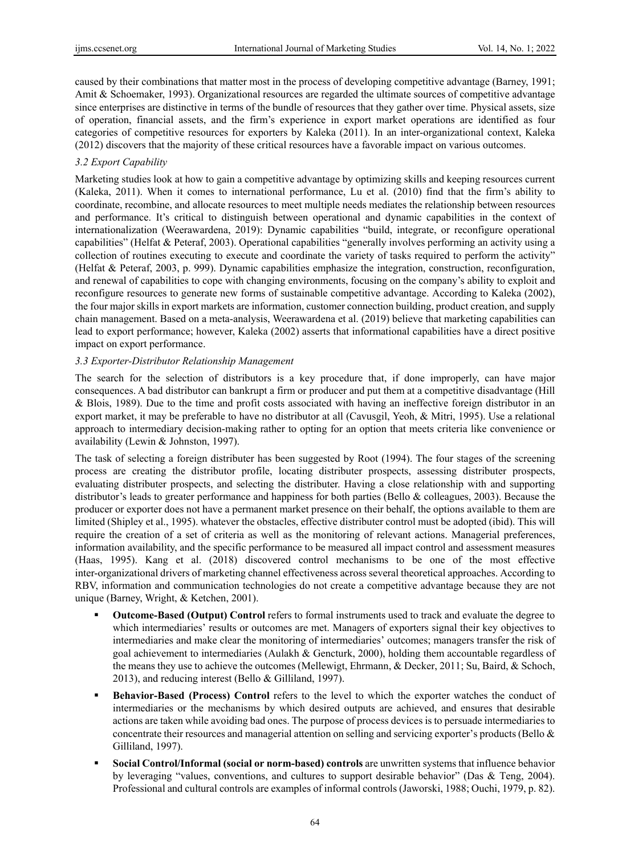caused by their combinations that matter most in the process of developing competitive advantage (Barney, 1991; Amit & Schoemaker, 1993). Organizational resources are regarded the ultimate sources of competitive advantage since enterprises are distinctive in terms of the bundle of resources that they gather over time. Physical assets, size of operation, financial assets, and the firm's experience in export market operations are identified as four categories of competitive resources for exporters by Kaleka (2011). In an inter-organizational context, Kaleka (2012) discovers that the majority of these critical resources have a favorable impact on various outcomes.

# *3.2 Export Capability*

Marketing studies look at how to gain a competitive advantage by optimizing skills and keeping resources current (Kaleka, 2011). When it comes to international performance, Lu et al. (2010) find that the firm's ability to coordinate, recombine, and allocate resources to meet multiple needs mediates the relationship between resources and performance. It's critical to distinguish between operational and dynamic capabilities in the context of internationalization (Weerawardena, 2019): Dynamic capabilities "build, integrate, or reconfigure operational capabilities" (Helfat & Peteraf, 2003). Operational capabilities "generally involves performing an activity using a collection of routines executing to execute and coordinate the variety of tasks required to perform the activity" (Helfat & Peteraf, 2003, p. 999). Dynamic capabilities emphasize the integration, construction, reconfiguration, and renewal of capabilities to cope with changing environments, focusing on the company's ability to exploit and reconfigure resources to generate new forms of sustainable competitive advantage. According to Kaleka (2002), the four major skills in export markets are information, customer connection building, product creation, and supply chain management. Based on a meta-analysis, Weerawardena et al. (2019) believe that marketing capabilities can lead to export performance; however, Kaleka (2002) asserts that informational capabilities have a direct positive impact on export performance.

### *3.3 Exporter-Distributor Relationship Management*

The search for the selection of distributors is a key procedure that, if done improperly, can have major consequences. A bad distributor can bankrupt a firm or producer and put them at a competitive disadvantage (Hill & Blois, 1989). Due to the time and profit costs associated with having an ineffective foreign distributor in an export market, it may be preferable to have no distributor at all (Cavusgil, Yeoh, & Mitri, 1995). Use a relational approach to intermediary decision-making rather to opting for an option that meets criteria like convenience or availability (Lewin & Johnston, 1997).

The task of selecting a foreign distributer has been suggested by Root (1994). The four stages of the screening process are creating the distributor profile, locating distributer prospects, assessing distributer prospects, evaluating distributer prospects, and selecting the distributer. Having a close relationship with and supporting distributor's leads to greater performance and happiness for both parties (Bello & colleagues, 2003). Because the producer or exporter does not have a permanent market presence on their behalf, the options available to them are limited (Shipley et al., 1995). whatever the obstacles, effective distributer control must be adopted (ibid). This will require the creation of a set of criteria as well as the monitoring of relevant actions. Managerial preferences, information availability, and the specific performance to be measured all impact control and assessment measures (Haas, 1995). Kang et al. (2018) discovered control mechanisms to be one of the most effective inter-organizational drivers of marketing channel effectiveness across several theoretical approaches. According to RBV, information and communication technologies do not create a competitive advantage because they are not unique (Barney, Wright, & Ketchen, 2001).

- **Outcome-Based (Output) Control** refers to formal instruments used to track and evaluate the degree to which intermediaries' results or outcomes are met. Managers of exporters signal their key objectives to intermediaries and make clear the monitoring of intermediaries' outcomes; managers transfer the risk of goal achievement to intermediaries (Aulakh & Gencturk, 2000), holding them accountable regardless of the means they use to achieve the outcomes (Mellewigt, Ehrmann, & Decker, 2011; Su, Baird, & Schoch, 2013), and reducing interest (Bello & Gilliland, 1997).
- **Behavior-Based (Process) Control** refers to the level to which the exporter watches the conduct of intermediaries or the mechanisms by which desired outputs are achieved, and ensures that desirable actions are taken while avoiding bad ones. The purpose of process devices is to persuade intermediaries to concentrate their resources and managerial attention on selling and servicing exporter's products (Bello & Gilliland, 1997).
- **Social Control/Informal (social or norm-based) controls** are unwritten systems that influence behavior by leveraging "values, conventions, and cultures to support desirable behavior" (Das & Teng, 2004). Professional and cultural controls are examples of informal controls (Jaworski, 1988; Ouchi, 1979, p. 82).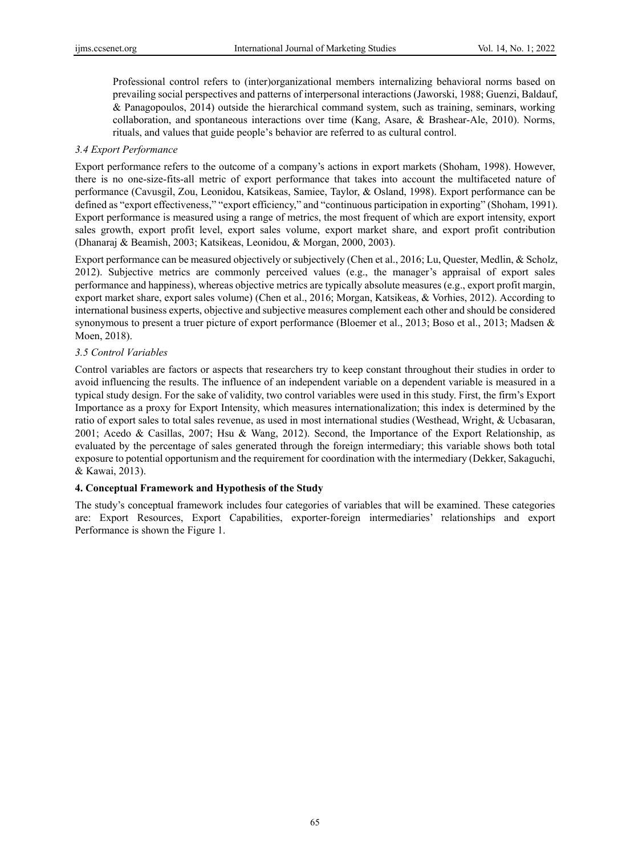Professional control refers to (inter)organizational members internalizing behavioral norms based on prevailing social perspectives and patterns of interpersonal interactions (Jaworski, 1988; Guenzi, Baldauf, & Panagopoulos, 2014) outside the hierarchical command system, such as training, seminars, working collaboration, and spontaneous interactions over time (Kang, Asare, & Brashear-Ale, 2010). Norms, rituals, and values that guide people's behavior are referred to as cultural control.

### *3.4 Export Performance*

Export performance refers to the outcome of a company's actions in export markets (Shoham, 1998). However, there is no one-size-fits-all metric of export performance that takes into account the multifaceted nature of performance (Cavusgil, Zou, Leonidou, Katsikeas, Samiee, Taylor, & Osland, 1998). Export performance can be defined as "export effectiveness," "export efficiency," and "continuous participation in exporting" (Shoham, 1991). Export performance is measured using a range of metrics, the most frequent of which are export intensity, export sales growth, export profit level, export sales volume, export market share, and export profit contribution (Dhanaraj & Beamish, 2003; Katsikeas, Leonidou, & Morgan, 2000, 2003).

Export performance can be measured objectively or subjectively (Chen et al., 2016; Lu, Quester, Medlin, & Scholz, 2012). Subjective metrics are commonly perceived values (e.g., the manager's appraisal of export sales performance and happiness), whereas objective metrics are typically absolute measures (e.g., export profit margin, export market share, export sales volume) (Chen et al., 2016; Morgan, Katsikeas, & Vorhies, 2012). According to international business experts, objective and subjective measures complement each other and should be considered synonymous to present a truer picture of export performance (Bloemer et al., 2013; Boso et al., 2013; Madsen & Moen, 2018).

# *3.5 Control Variables*

Control variables are factors or aspects that researchers try to keep constant throughout their studies in order to avoid influencing the results. The influence of an independent variable on a dependent variable is measured in a typical study design. For the sake of validity, two control variables were used in this study. First, the firm's Export Importance as a proxy for Export Intensity, which measures internationalization; this index is determined by the ratio of export sales to total sales revenue, as used in most international studies (Westhead, Wright, & Ucbasaran, 2001; Acedo & Casillas, 2007; Hsu & Wang, 2012). Second, the Importance of the Export Relationship, as evaluated by the percentage of sales generated through the foreign intermediary; this variable shows both total exposure to potential opportunism and the requirement for coordination with the intermediary (Dekker, Sakaguchi, & Kawai, 2013).

# **4. Conceptual Framework and Hypothesis of the Study**

The study's conceptual framework includes four categories of variables that will be examined. These categories are: Export Resources, Export Capabilities, exporter-foreign intermediaries' relationships and export Performance is shown the Figure 1.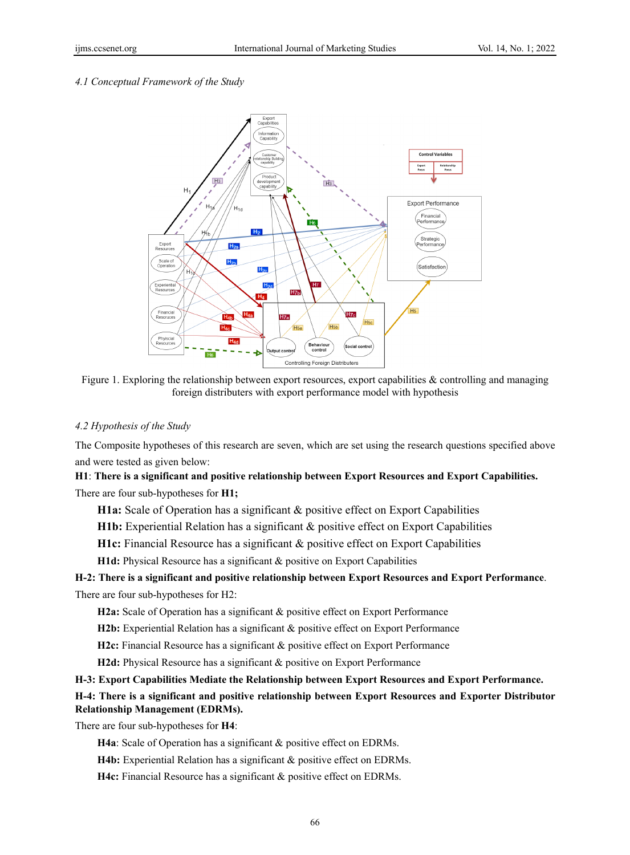#### *4.1 Conceptual Framework of the Study*



Figure 1. Exploring the relationship between export resources, export capabilities & controlling and managing foreign distributers with export performance model with hypothesis

#### *4.2 Hypothesis of the Study*

The Composite hypotheses of this research are seven, which are set using the research questions specified above and were tested as given below:

# **H1**: **There is a significant and positive relationship between Export Resources and Export Capabilities.** There are four sub-hypotheses for **H1;**

**H1a:** Scale of Operation has a significant & positive effect on Export Capabilities

- **H1b:** Experiential Relation has a significant & positive effect on Export Capabilities
- **H1c:** Financial Resource has a significant & positive effect on Export Capabilities

**H1d:** Physical Resource has a significant & positive on Export Capabilities

# **H-2: There is a significant and positive relationship between Export Resources and Export Performance**. There are four sub-hypotheses for H2:

**H2a:** Scale of Operation has a significant & positive effect on Export Performance

**H2b:** Experiential Relation has a significant & positive effect on Export Performance

**H2c:** Financial Resource has a significant & positive effect on Export Performance

**H2d:** Physical Resource has a significant & positive on Export Performance

# **H-3: Export Capabilities Mediate the Relationship between Export Resources and Export Performance.**

# **H-4: There is a significant and positive relationship between Export Resources and Exporter Distributor Relationship Management (EDRMs).**

There are four sub-hypotheses for **H4**:

- **H4a**: Scale of Operation has a significant & positive effect on EDRMs.
- **H4b:** Experiential Relation has a significant & positive effect on EDRMs.
- **H4c:** Financial Resource has a significant & positive effect on EDRMs.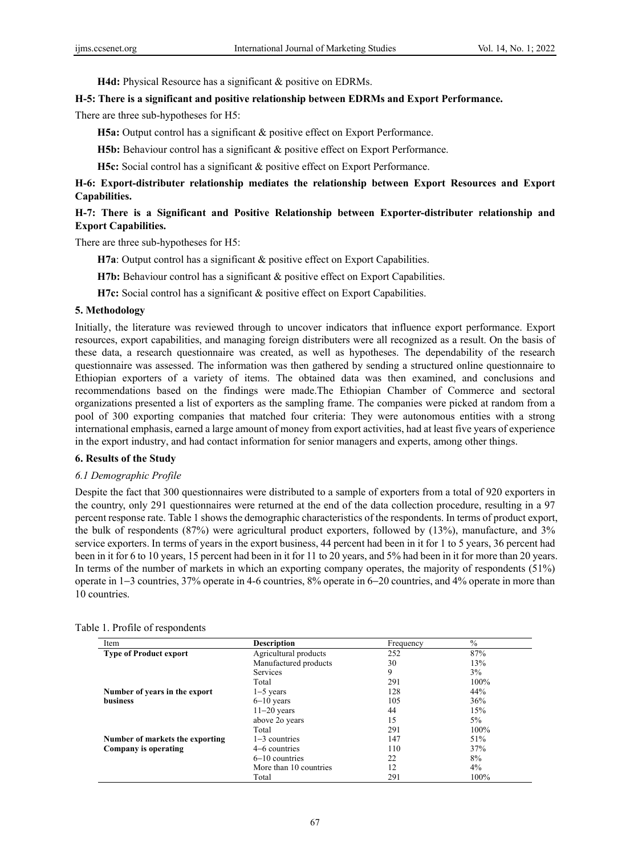**H4d:** Physical Resource has a significant & positive on EDRMs.

#### **H-5: There is a significant and positive relationship between EDRMs and Export Performance.**

There are three sub-hypotheses for H5:

**H5a:** Output control has a significant & positive effect on Export Performance.

**H5b:** Behaviour control has a significant & positive effect on Export Performance.

**H5c:** Social control has a significant & positive effect on Export Performance.

# **H-6: Export-distributer relationship mediates the relationship between Export Resources and Export Capabilities.**

# **H-7: There is a Significant and Positive Relationship between Exporter-distributer relationship and Export Capabilities.**

There are three sub-hypotheses for H5:

**H7a**: Output control has a significant & positive effect on Export Capabilities.

**H7b:** Behaviour control has a significant & positive effect on Export Capabilities.

**H7c:** Social control has a significant & positive effect on Export Capabilities.

#### **5. Methodology**

Initially, the literature was reviewed through to uncover indicators that influence export performance. Export resources, export capabilities, and managing foreign distributers were all recognized as a result. On the basis of these data, a research questionnaire was created, as well as hypotheses. The dependability of the research questionnaire was assessed. The information was then gathered by sending a structured online questionnaire to Ethiopian exporters of a variety of items. The obtained data was then examined, and conclusions and recommendations based on the findings were made.The Ethiopian Chamber of Commerce and sectoral organizations presented a list of exporters as the sampling frame. The companies were picked at random from a pool of 300 exporting companies that matched four criteria: They were autonomous entities with a strong international emphasis, earned a large amount of money from export activities, had at least five years of experience in the export industry, and had contact information for senior managers and experts, among other things.

#### **6. Results of the Study**

#### *6.1 Demographic Profile*

Despite the fact that 300 questionnaires were distributed to a sample of exporters from a total of 920 exporters in the country, only 291 questionnaires were returned at the end of the data collection procedure, resulting in a 97 percent response rate. Table 1 shows the demographic characteristics of the respondents. In terms of product export, the bulk of respondents (87%) were agricultural product exporters, followed by (13%), manufacture, and 3% service exporters. In terms of years in the export business, 44 percent had been in it for 1 to 5 years, 36 percent had been in it for 6 to 10 years, 15 percent had been in it for 11 to 20 years, and 5% had been in it for more than 20 years. In terms of the number of markets in which an exporting company operates, the majority of respondents (51%) operate in 1−3 countries, 37% operate in 4-6 countries, 8% operate in 6−20 countries, and 4% operate in more than 10 countries.

| Item                            | <b>Description</b>     | Frequency | $\%$  |
|---------------------------------|------------------------|-----------|-------|
| <b>Type of Product export</b>   | Agricultural products  | 252       | 87%   |
|                                 | Manufactured products  | 30        | 13%   |
|                                 | <b>Services</b>        | 9         | $3\%$ |
|                                 | Total                  | 291       | 100%  |
| Number of years in the export   | $1-5$ years            | 128       | 44%   |
| business                        | $6-10$ years           | 105       | 36%   |
|                                 | $11-20$ years          | 44        | 15%   |
|                                 | above 20 years         | 15        | $5\%$ |
|                                 | Total                  | 291       | 100%  |
| Number of markets the exporting | $1-3$ countries        | 147       | 51%   |
| Company is operating            | 4–6 countries          | 110       | 37%   |
|                                 | $6-10$ countries       | 22        | 8%    |
|                                 | More than 10 countries | 12        | $4\%$ |
|                                 | Total                  | 291       | 100%  |

Table 1. Profile of respondents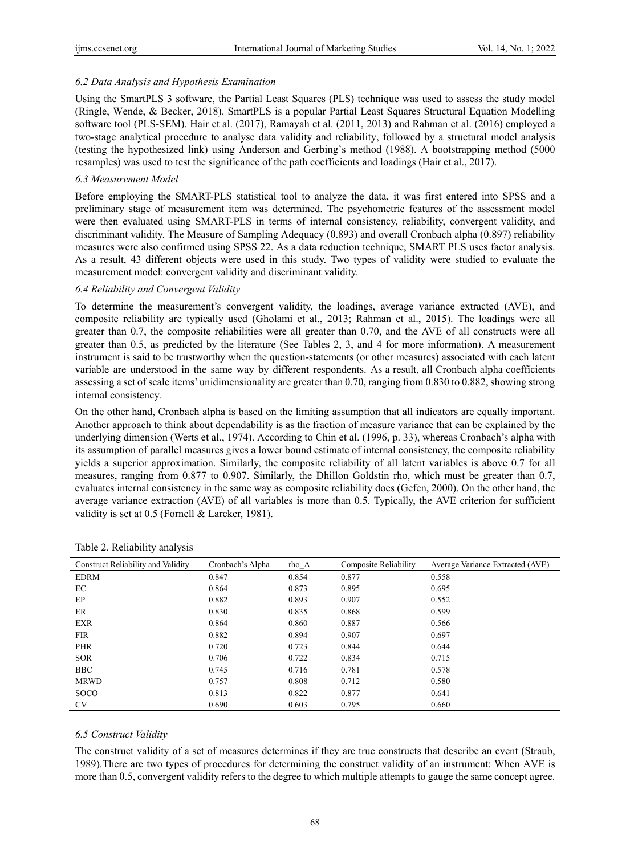### *6.2 Data Analysis and Hypothesis Examination*

Using the SmartPLS 3 software, the Partial Least Squares (PLS) technique was used to assess the study model (Ringle, Wende, & Becker, 2018). SmartPLS is a popular Partial Least Squares Structural Equation Modelling software tool (PLS-SEM). Hair et al. (2017), Ramayah et al. (2011, 2013) and Rahman et al. (2016) employed a two-stage analytical procedure to analyse data validity and reliability, followed by a structural model analysis (testing the hypothesized link) using Anderson and Gerbing's method (1988). A bootstrapping method (5000 resamples) was used to test the significance of the path coefficients and loadings (Hair et al., 2017).

### *6.3 Measurement Model*

Before employing the SMART-PLS statistical tool to analyze the data, it was first entered into SPSS and a preliminary stage of measurement item was determined. The psychometric features of the assessment model were then evaluated using SMART-PLS in terms of internal consistency, reliability, convergent validity, and discriminant validity. The Measure of Sampling Adequacy (0.893) and overall Cronbach alpha (0.897) reliability measures were also confirmed using SPSS 22. As a data reduction technique, SMART PLS uses factor analysis. As a result, 43 different objects were used in this study. Two types of validity were studied to evaluate the measurement model: convergent validity and discriminant validity.

#### *6.4 Reliability and Convergent Validity*

To determine the measurement's convergent validity, the loadings, average variance extracted (AVE), and composite reliability are typically used (Gholami et al., 2013; Rahman et al., 2015). The loadings were all greater than 0.7, the composite reliabilities were all greater than 0.70, and the AVE of all constructs were all greater than 0.5, as predicted by the literature (See Tables 2, 3, and 4 for more information). A measurement instrument is said to be trustworthy when the question-statements (or other measures) associated with each latent variable are understood in the same way by different respondents. As a result, all Cronbach alpha coefficients assessing a set of scale items' unidimensionality are greater than 0.70, ranging from 0.830 to 0.882, showing strong internal consistency.

On the other hand, Cronbach alpha is based on the limiting assumption that all indicators are equally important. Another approach to think about dependability is as the fraction of measure variance that can be explained by the underlying dimension (Werts et al., 1974). According to Chin et al. (1996, p. 33), whereas Cronbach's alpha with its assumption of parallel measures gives a lower bound estimate of internal consistency, the composite reliability yields a superior approximation. Similarly, the composite reliability of all latent variables is above 0.7 for all measures, ranging from 0.877 to 0.907. Similarly, the Dhillon Goldstin rho, which must be greater than 0.7, evaluates internal consistency in the same way as composite reliability does (Gefen, 2000). On the other hand, the average variance extraction (AVE) of all variables is more than 0.5. Typically, the AVE criterion for sufficient validity is set at 0.5 (Fornell & Larcker, 1981).

| <b>Construct Reliability and Validity</b> | Cronbach's Alpha | rho A | Composite Reliability | Average Variance Extracted (AVE) |
|-------------------------------------------|------------------|-------|-----------------------|----------------------------------|
| <b>EDRM</b>                               | 0.847            | 0.854 | 0.877                 | 0.558                            |
| EC                                        | 0.864            | 0.873 | 0.895                 | 0.695                            |
| EP                                        | 0.882            | 0.893 | 0.907                 | 0.552                            |
| ER                                        | 0.830            | 0.835 | 0.868                 | 0.599                            |
| <b>EXR</b>                                | 0.864            | 0.860 | 0.887                 | 0.566                            |
| <b>FIR</b>                                | 0.882            | 0.894 | 0.907                 | 0.697                            |
| <b>PHR</b>                                | 0.720            | 0.723 | 0.844                 | 0.644                            |
| <b>SOR</b>                                | 0.706            | 0.722 | 0.834                 | 0.715                            |
| <b>BBC</b>                                | 0.745            | 0.716 | 0.781                 | 0.578                            |
| <b>MRWD</b>                               | 0.757            | 0.808 | 0.712                 | 0.580                            |
| <b>SOCO</b>                               | 0.813            | 0.822 | 0.877                 | 0.641                            |
| <b>CV</b>                                 | 0.690            | 0.603 | 0.795                 | 0.660                            |

#### Table 2. Reliability analysis

### *6.5 Construct Validity*

The construct validity of a set of measures determines if they are true constructs that describe an event (Straub, 1989).There are two types of procedures for determining the construct validity of an instrument: When AVE is more than 0.5, convergent validity refers to the degree to which multiple attempts to gauge the same concept agree.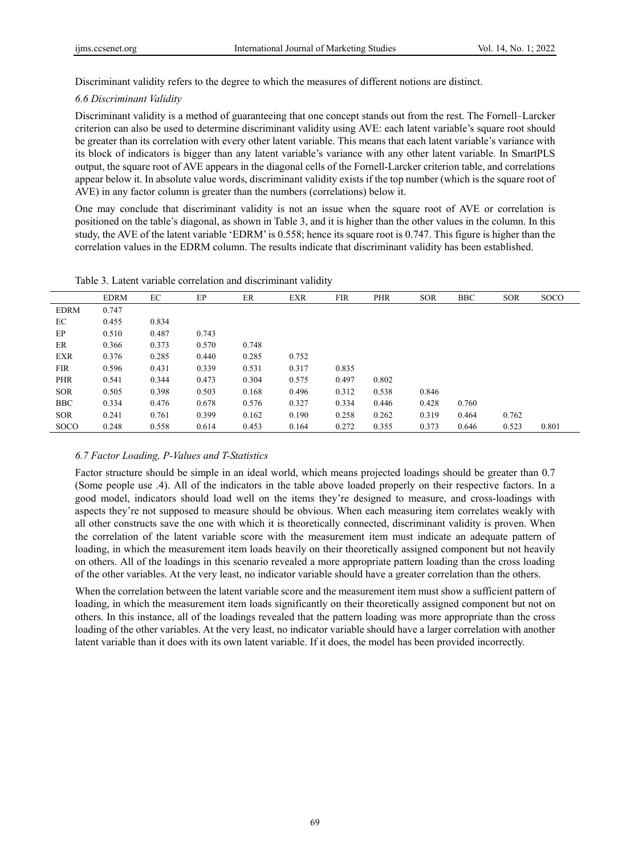Discriminant validity refers to the degree to which the measures of different notions are distinct.

#### *6.6 Discriminant Validity*

Discriminant validity is a method of guaranteeing that one concept stands out from the rest. The Fornell–Larcker criterion can also be used to determine discriminant validity using AVE: each latent variable's square root should be greater than its correlation with every other latent variable. This means that each latent variable's variance with its block of indicators is bigger than any latent variable's variance with any other latent variable. In SmartPLS output, the square root of AVE appears in the diagonal cells of the Fornell-Larcker criterion table, and correlations appear below it. In absolute value words, discriminant validity exists if the top number (which is the square root of AVE) in any factor column is greater than the numbers (correlations) below it.

One may conclude that discriminant validity is not an issue when the square root of AVE or correlation is positioned on the table's diagonal, as shown in Table 3, and it is higher than the other values in the column. In this study, the AVE of the latent variable 'EDRM' is 0.558; hence its square root is 0.747. This figure is higher than the correlation values in the EDRM column. The results indicate that discriminant validity has been established.

|             | <b>EDRM</b> | EC    | EP    | ER    | <b>EXR</b> | <b>FIR</b> | <b>PHR</b> | <b>SOR</b> | <b>BBC</b> | <b>SOR</b> | <b>SOCO</b> |
|-------------|-------------|-------|-------|-------|------------|------------|------------|------------|------------|------------|-------------|
| <b>EDRM</b> | 0.747       |       |       |       |            |            |            |            |            |            |             |
| EC          | 0.455       | 0.834 |       |       |            |            |            |            |            |            |             |
| EP          | 0.510       | 0.487 | 0.743 |       |            |            |            |            |            |            |             |
| ER          | 0.366       | 0.373 | 0.570 | 0.748 |            |            |            |            |            |            |             |
| <b>EXR</b>  | 0.376       | 0.285 | 0.440 | 0.285 | 0.752      |            |            |            |            |            |             |
| <b>FIR</b>  | 0.596       | 0.431 | 0.339 | 0.531 | 0.317      | 0.835      |            |            |            |            |             |
| <b>PHR</b>  | 0.541       | 0.344 | 0.473 | 0.304 | 0.575      | 0.497      | 0.802      |            |            |            |             |
| <b>SOR</b>  | 0.505       | 0.398 | 0.503 | 0.168 | 0.496      | 0.312      | 0.538      | 0.846      |            |            |             |
| <b>BBC</b>  | 0.334       | 0.476 | 0.678 | 0.576 | 0.327      | 0.334      | 0.446      | 0.428      | 0.760      |            |             |
| <b>SOR</b>  | 0.241       | 0.761 | 0.399 | 0.162 | 0.190      | 0.258      | 0.262      | 0.319      | 0.464      | 0.762      |             |
| <b>SOCO</b> | 0.248       | 0.558 | 0.614 | 0.453 | 0.164      | 0.272      | 0.355      | 0.373      | 0.646      | 0.523      | 0.801       |

Table 3. Latent variable correlation and discriminant validity

#### *6.7 Factor Loading, P-Values and T-Statistics*

Factor structure should be simple in an ideal world, which means projected loadings should be greater than 0.7 (Some people use .4). All of the indicators in the table above loaded properly on their respective factors. In a good model, indicators should load well on the items they're designed to measure, and cross-loadings with aspects they're not supposed to measure should be obvious. When each measuring item correlates weakly with all other constructs save the one with which it is theoretically connected, discriminant validity is proven. When the correlation of the latent variable score with the measurement item must indicate an adequate pattern of loading, in which the measurement item loads heavily on their theoretically assigned component but not heavily on others. All of the loadings in this scenario revealed a more appropriate pattern loading than the cross loading of the other variables. At the very least, no indicator variable should have a greater correlation than the others.

When the correlation between the latent variable score and the measurement item must show a sufficient pattern of loading, in which the measurement item loads significantly on their theoretically assigned component but not on others. In this instance, all of the loadings revealed that the pattern loading was more appropriate than the cross loading of the other variables. At the very least, no indicator variable should have a larger correlation with another latent variable than it does with its own latent variable. If it does, the model has been provided incorrectly.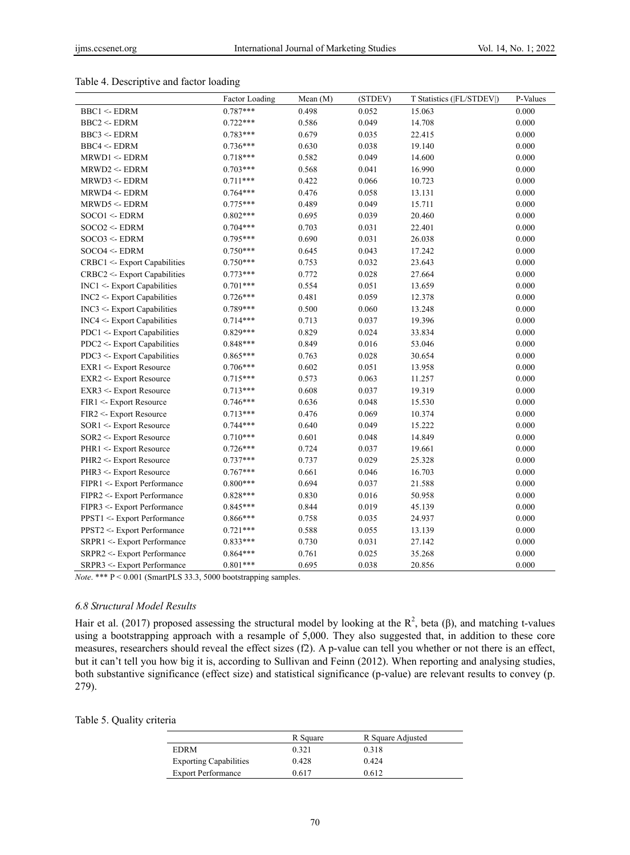# Table 4. Descriptive and factor loading

|                                   | <b>Factor Loading</b> | Mean $(M)$ | (STDEV) | T Statistics ([FL/STDEV]) | P-Values |
|-----------------------------------|-----------------------|------------|---------|---------------------------|----------|
| <b>BBC1 &lt;- EDRM</b>            | $0.787***$            | 0.498      | 0.052   | 15.063                    | 0.000    |
| BBC2 < EDRAM                      | $0.722***$            | 0.586      | 0.049   | 14.708                    | 0.000    |
| BBC3 < EDRAM                      | $0.783***$            | 0.679      | 0.035   | 22.415                    | 0.000    |
| <b>BBC4 &lt;- EDRM</b>            | $0.736***$            | 0.630      | 0.038   | 19.140                    | 0.000    |
| MRWD1 <- EDRM                     | $0.718***$            | 0.582      | 0.049   | 14.600                    | 0.000    |
| MRWD2 <- EDRM                     | $0.703***$            | 0.568      | 0.041   | 16.990                    | 0.000    |
| MRWD3 <- EDRM                     | $0.711***$            | 0.422      | 0.066   | 10.723                    | 0.000    |
| MRWD4 <- EDRM                     | $0.764***$            | 0.476      | 0.058   | 13.131                    | 0.000    |
| MRWD5 <- EDRM                     | $0.775***$            | 0.489      | 0.049   | 15.711                    | 0.000    |
| $SOCO1 \leq EDRM$                 | $0.802***$            | 0.695      | 0.039   | 20.460                    | 0.000    |
| $SOCO2 \leq EDRM$                 | $0.704***$            | 0.703      | 0.031   | 22.401                    | 0.000    |
| $SOCO3 \leq EDRM$                 | $0.795***$            | 0.690      | 0.031   | 26.038                    | 0.000    |
| $SOCO4 \leq EDRM$                 | $0.750***$            | 0.645      | 0.043   | 17.242                    | 0.000    |
| CRBC1 <- Export Capabilities      | $0.750***$            | 0.753      | 0.032   | 23.643                    | 0.000    |
| CRBC2 <- Export Capabilities      | $0.773***$            | 0.772      | 0.028   | 27.664                    | 0.000    |
| $INC1 < E$ xport Capabilities     | $0.701***$            | 0.554      | 0.051   | 13.659                    | 0.000    |
| $INC2 < E$ xport Capabilities     | $0.726***$            | 0.481      | 0.059   | 12.378                    | 0.000    |
| $INC3 < E$ xport Capabilities     | $0.789***$            | 0.500      | 0.060   | 13.248                    | 0.000    |
| INC4 <- Export Capabilities       | $0.714***$            | 0.713      | 0.037   | 19.396                    | 0.000    |
| PDC1 <- Export Capabilities       | $0.829***$            | 0.829      | 0.024   | 33.834                    | 0.000    |
| PDC2 <- Export Capabilities       | $0.848***$            | 0.849      | 0.016   | 53.046                    | 0.000    |
| PDC3 <- Export Capabilities       | $0.865***$            | 0.763      | 0.028   | 30.654                    | 0.000    |
| <b>EXR1 &lt;- Export Resource</b> | $0.706***$            | 0.602      | 0.051   | 13.958                    | 0.000    |
| <b>EXR2 &lt;- Export Resource</b> | $0.715***$            | 0.573      | 0.063   | 11.257                    | 0.000    |
| <b>EXR3 &lt;- Export Resource</b> | $0.713***$            | 0.608      | 0.037   | 19.319                    | 0.000    |
| FIR1 <- Export Resource           | 0.746***              | 0.636      | 0.048   | 15.530                    | 0.000    |
| FIR2 <- Export Resource           | $0.713***$            | 0.476      | 0.069   | 10.374                    | 0.000    |
| SOR1 <- Export Resource           | $0.744***$            | 0.640      | 0.049   | 15.222                    | 0.000    |
| SOR2 <- Export Resource           | $0.710***$            | 0.601      | 0.048   | 14.849                    | 0.000    |
| PHR1 <- Export Resource           | $0.726***$            | 0.724      | 0.037   | 19.661                    | 0.000    |
| PHR2 <- Export Resource           | $0.737***$            | 0.737      | 0.029   | 25.328                    | 0.000    |
| PHR3 <- Export Resource           | $0.767***$            | 0.661      | 0.046   | 16.703                    | 0.000    |
| FIPR1 <- Export Performance       | $0.800***$            | 0.694      | 0.037   | 21.588                    | 0.000    |
| FIPR2 <- Export Performance       | $0.828***$            | 0.830      | 0.016   | 50.958                    | 0.000    |
| FIPR3 <- Export Performance       | $0.845***$            | 0.844      | 0.019   | 45.139                    | 0.000    |
| PPST1 <- Export Performance       | $0.866***$            | 0.758      | 0.035   | 24.937                    | 0.000    |
| PPST2 <- Export Performance       | $0.721***$            | 0.588      | 0.055   | 13.139                    | 0.000    |
| SRPR1 <- Export Performance       | $0.833***$            | 0.730      | 0.031   | 27.142                    | 0.000    |
| SRPR2 <- Export Performance       | $0.864***$            | 0.761      | 0.025   | 35.268                    | 0.000    |
| SRPR3 <- Export Performance       | $0.801***$            | 0.695      | 0.038   | 20.856                    | 0.000    |

*Note*. \*\*\* P < 0.001 (SmartPLS 33.3, 5000 bootstrapping samples.

#### *6.8 Structural Model Results*

Hair et al. (2017) proposed assessing the structural model by looking at the  $R^2$ , beta ( $\beta$ ), and matching t-values using a bootstrapping approach with a resample of 5,000. They also suggested that, in addition to these core measures, researchers should reveal the effect sizes (f2). A p-value can tell you whether or not there is an effect, but it can't tell you how big it is, according to Sullivan and Feinn (2012). When reporting and analysing studies, both substantive significance (effect size) and statistical significance (p-value) are relevant results to convey (p. 279).

|  |  |  |  | Table 5. Quality criteria |
|--|--|--|--|---------------------------|
|--|--|--|--|---------------------------|

|                               | R Square | R Square Adjusted |  |
|-------------------------------|----------|-------------------|--|
| <b>EDRM</b>                   | 0.321    | 0.318             |  |
| <b>Exporting Capabilities</b> | 0.428    | 0.424             |  |
| <b>Export Performance</b>     | 0.617    | 0.612             |  |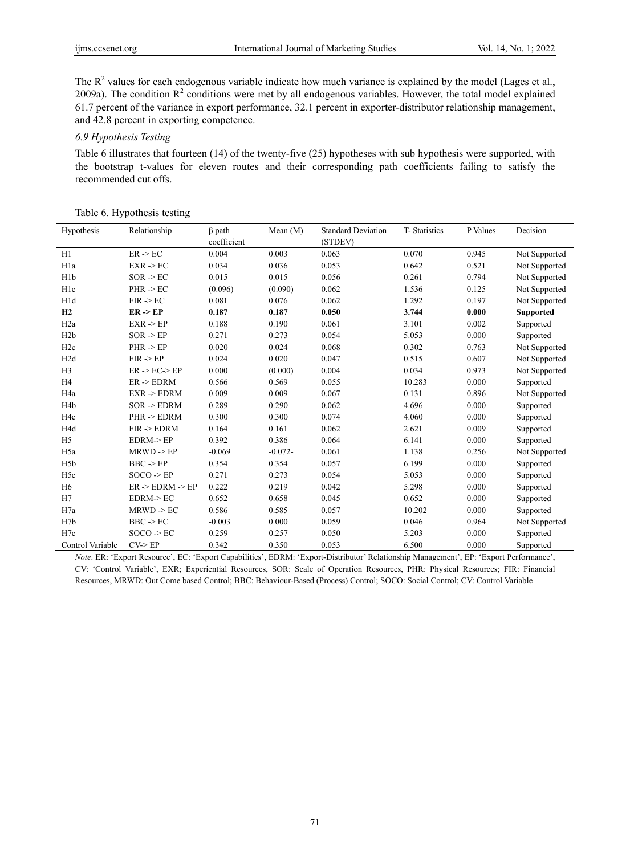The  $R<sup>2</sup>$  values for each endogenous variable indicate how much variance is explained by the model (Lages et al., 2009a). The condition  $R^2$  conditions were met by all endogenous variables. However, the total model explained 61.7 percent of the variance in export performance, 32.1 percent in exporter-distributor relationship management, and 42.8 percent in exporting competence.

#### *6.9 Hypothesis Testing*

Table 6 illustrates that fourteen (14) of the twenty-five (25) hypotheses with sub hypothesis were supported, with the bootstrap t-values for eleven routes and their corresponding path coefficients failing to satisfy the recommended cut offs.

|  | Table 6. Hypothesis testing |  |
|--|-----------------------------|--|
|--|-----------------------------|--|

| Hypothesis       | Relationship            | $\beta$ path | Mean $(M)$ | <b>Standard Deviation</b> | T-Statistics | P Values | Decision         |
|------------------|-------------------------|--------------|------------|---------------------------|--------------|----------|------------------|
|                  |                         | coefficient  |            | (STDEV)                   |              |          |                  |
| H1               | $ER - BC$               | 0.004        | 0.003      | 0.063                     | 0.070        | 0.945    | Not Supported    |
| H <sub>1</sub> a | $EXR \ge EC$            | 0.034        | 0.036      | 0.053                     | 0.642        | 0.521    | Not Supported    |
| H <sub>1</sub> b | $SOR \rightarrow EC$    | 0.015        | 0.015      | 0.056                     | 0.261        | 0.794    | Not Supported    |
| H <sub>1</sub> c | $PHR \rightarrow EC$    | (0.096)      | (0.090)    | 0.062                     | 1.536        | 0.125    | Not Supported    |
| H <sub>1</sub> d | $FIR \rightarrow EC$    | 0.081        | 0.076      | 0.062                     | 1.292        | 0.197    | Not Supported    |
| H2               | $ER \geq EP$            | 0.187        | 0.187      | 0.050                     | 3.744        | 0.000    | <b>Supported</b> |
| H <sub>2</sub> a | $EXR \geq EP$           | 0.188        | 0.190      | 0.061                     | 3.101        | 0.002    | Supported        |
| H2b              | $SOR \rightarrow EP$    | 0.271        | 0.273      | 0.054                     | 5.053        | 0.000    | Supported        |
| H <sub>2c</sub>  | $PHR - EP$              | 0.020        | 0.024      | 0.068                     | 0.302        | 0.763    | Not Supported    |
| H2d              | $FIR \rightarrow EP$    | 0.024        | 0.020      | 0.047                     | 0.515        | 0.607    | Not Supported    |
| H <sub>3</sub>   | $ER$ -> $EC$ -> $EP$    | 0.000        | (0.000)    | 0.004                     | 0.034        | 0.973    | Not Supported    |
| H <sub>4</sub>   | $ER$ -> $EDRM$          | 0.566        | 0.569      | 0.055                     | 10.283       | 0.000    | Supported        |
| H <sub>4</sub> a | $EXR \geq EDRAM$        | 0.009        | 0.009      | 0.067                     | 0.131        | 0.896    | Not Supported    |
| H <sub>4</sub> b | $SOR \rightarrow EDRAM$ | 0.289        | 0.290      | 0.062                     | 4.696        | 0.000    | Supported        |
| H <sub>4c</sub>  | PHR -> EDRM             | 0.300        | 0.300      | 0.074                     | 4.060        | 0.000    | Supported        |
| H4d              | $FIR \rightarrow EDRM$  | 0.164        | 0.161      | 0.062                     | 2.621        | 0.009    | Supported        |
| H <sub>5</sub>   | $EDRM$ -> $EP$          | 0.392        | 0.386      | 0.064                     | 6.141        | 0.000    | Supported        |
| H <sub>5a</sub>  | $MRWD \ge EP$           | $-0.069$     | $-0.072-$  | 0.061                     | 1.138        | 0.256    | Not Supported    |
| H <sub>5</sub> b | $BBC \rightarrow EP$    | 0.354        | 0.354      | 0.057                     | 6.199        | 0.000    | Supported        |
| H <sub>5c</sub>  | $SOCO \geq EP$          | 0.271        | 0.273      | 0.054                     | 5.053        | 0.000    | Supported        |
| H <sub>6</sub>   | $ER$ -> $EDRM$ -> $EP$  | 0.222        | 0.219      | 0.042                     | 5.298        | 0.000    | Supported        |
| H7               | EDRM > EC               | 0.652        | 0.658      | 0.045                     | 0.652        | 0.000    | Supported        |
| H7a              | $MRWD \ge EC$           | 0.586        | 0.585      | 0.057                     | 10.202       | 0.000    | Supported        |
| H <sub>7b</sub>  | $BBC \rightarrow EC$    | $-0.003$     | 0.000      | 0.059                     | 0.046        | 0.964    | Not Supported    |
| H7c              | $SOCO \rightarrow EC$   | 0.259        | 0.257      | 0.050                     | 5.203        | 0.000    | Supported        |
| Control Variable | CV > EP                 | 0.342        | 0.350      | 0.053                     | 6.500        | 0.000    | Supported        |

*Note*. ER: 'Export Resource', EC: 'Export Capabilities', EDRM: 'Export-Distributor' Relationship Management', EP: 'Export Performance', CV: 'Control Variable', EXR; Experiential Resources, SOR: Scale of Operation Resources, PHR: Physical Resources; FIR: Financial Resources, MRWD: Out Come based Control; BBC: Behaviour-Based (Process) Control; SOCO: Social Control; CV: Control Variable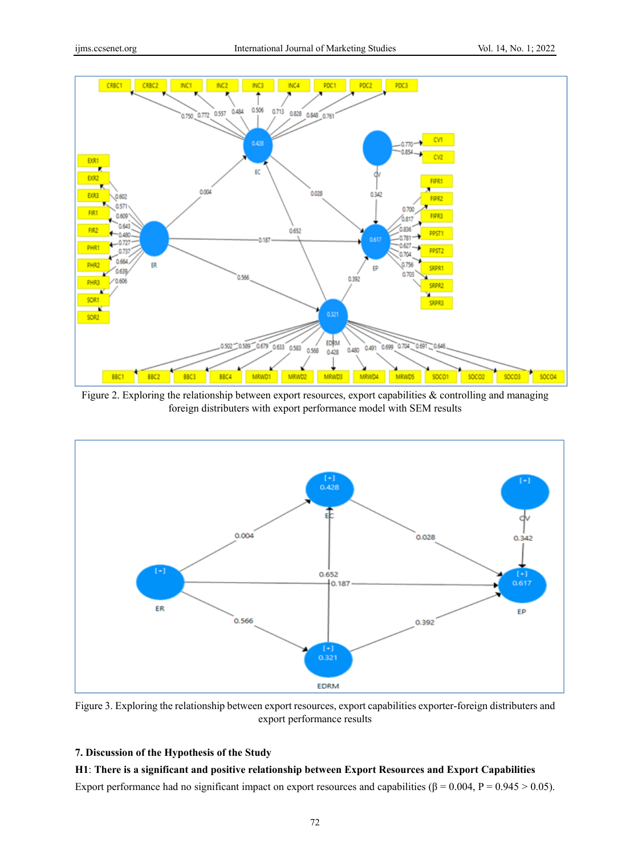

Figure 2. Exploring the relationship between export resources, export capabilities & controlling and managing foreign distributers with export performance model with SEM results



Figure 3. Exploring the relationship between export resources, export capabilities exporter-foreign distributers and export performance results

# **7. Discussion of the Hypothesis of the Study**

**H1**: **There is a significant and positive relationship between Export Resources and Export Capabilities** Export performance had no significant impact on export resources and capabilities ( $\beta$  = 0.004, P = 0.945 > 0.05).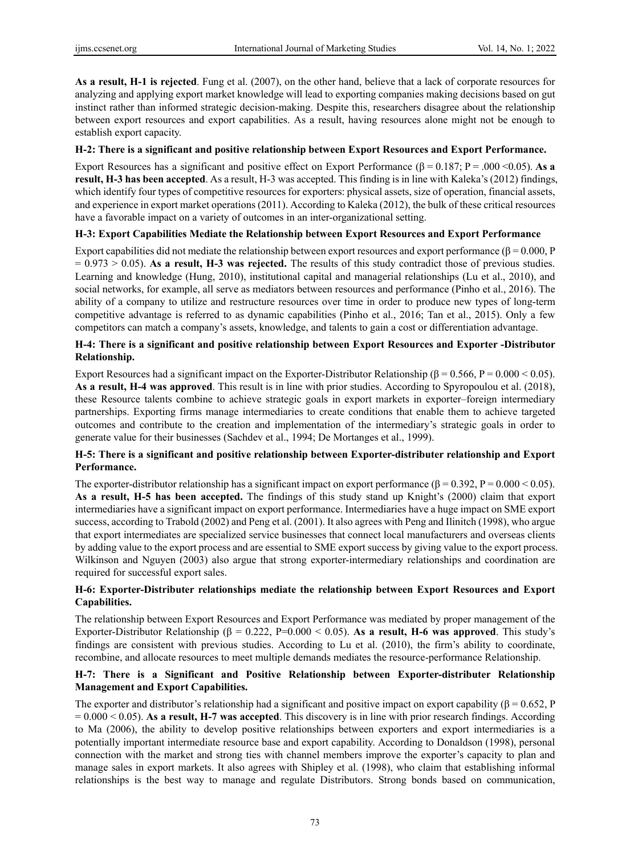**As a result, H-1 is rejected**. Fung et al. (2007), on the other hand, believe that a lack of corporate resources for analyzing and applying export market knowledge will lead to exporting companies making decisions based on gut instinct rather than informed strategic decision-making. Despite this, researchers disagree about the relationship between export resources and export capabilities. As a result, having resources alone might not be enough to establish export capacity.

### **H-2: There is a significant and positive relationship between Export Resources and Export Performance.**

Export Resources has a significant and positive effect on Export Performance  $(\beta = 0.187; P = .000 \le 0.05)$ . As a **result, H-3 has been accepted**. As a result, H-3 was accepted. This finding is in line with Kaleka's (2012) findings, which identify four types of competitive resources for exporters: physical assets, size of operation, financial assets, and experience in export market operations (2011). According to Kaleka (2012), the bulk of these critical resources have a favorable impact on a variety of outcomes in an inter-organizational setting.

# **H-3: Export Capabilities Mediate the Relationship between Export Resources and Export Performance**

Export capabilities did not mediate the relationship between export resources and export performance ( $\beta$  = 0.000, P = 0.973 > 0.05). **As a result, H-3 was rejected.** The results of this study contradict those of previous studies. Learning and knowledge (Hung, 2010), institutional capital and managerial relationships (Lu et al., 2010), and social networks, for example, all serve as mediators between resources and performance (Pinho et al., 2016). The ability of a company to utilize and restructure resources over time in order to produce new types of long-term competitive advantage is referred to as dynamic capabilities (Pinho et al., 2016; Tan et al., 2015). Only a few competitors can match a company's assets, knowledge, and talents to gain a cost or differentiation advantage.

# **H-4: There is a significant and positive relationship between Export Resources and Exporter -Distributor Relationship.**

Export Resources had a significant impact on the Exporter-Distributor Relationship ( $\beta = 0.566$ , P = 0.000 < 0.05). **As a result, H-4 was approved**. This result is in line with prior studies. According to Spyropoulou et al. (2018), these Resource talents combine to achieve strategic goals in export markets in exporter–foreign intermediary partnerships. Exporting firms manage intermediaries to create conditions that enable them to achieve targeted outcomes and contribute to the creation and implementation of the intermediary's strategic goals in order to generate value for their businesses (Sachdev et al., 1994; De Mortanges et al., 1999).

# **H-5: There is a significant and positive relationship between Exporter-distributer relationship and Export Performance.**

The exporter-distributor relationship has a significant impact on export performance ( $\beta = 0.392$ , P = 0.000 < 0.05). **As a result, H-5 has been accepted.** The findings of this study stand up Knight's (2000) claim that export intermediaries have a significant impact on export performance. Intermediaries have a huge impact on SME export success, according to Trabold (2002) and Peng et al. (2001). It also agrees with Peng and Ilinitch (1998), who argue that export intermediates are specialized service businesses that connect local manufacturers and overseas clients by adding value to the export process and are essential to SME export success by giving value to the export process. Wilkinson and Nguyen (2003) also argue that strong exporter-intermediary relationships and coordination are required for successful export sales.

# **H-6: Exporter-Distributer relationships mediate the relationship between Export Resources and Export Capabilities.**

The relationship between Export Resources and Export Performance was mediated by proper management of the Exporter-Distributor Relationship ( $\beta = 0.222$ , P=0.000 < 0.05). As a result, H-6 was approved. This study's findings are consistent with previous studies. According to Lu et al. (2010), the firm's ability to coordinate, recombine, and allocate resources to meet multiple demands mediates the resource-performance Relationship.

# **H-7: There is a Significant and Positive Relationship between Exporter-distributer Relationship Management and Export Capabilities.**

The exporter and distributor's relationship had a significant and positive impact on export capability ( $\beta$  = 0.652, P  $= 0.000 < 0.05$ ). As a result, H-7 was accepted. This discovery is in line with prior research findings. According to Ma (2006), the ability to develop positive relationships between exporters and export intermediaries is a potentially important intermediate resource base and export capability. According to Donaldson (1998), personal connection with the market and strong ties with channel members improve the exporter's capacity to plan and manage sales in export markets. It also agrees with Shipley et al. (1998), who claim that establishing informal relationships is the best way to manage and regulate Distributors. Strong bonds based on communication,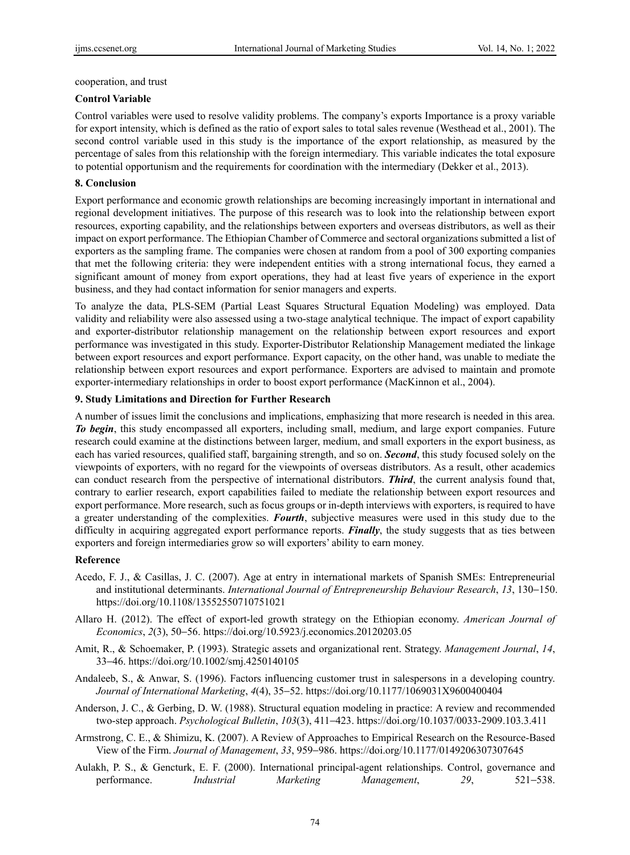cooperation, and trust

## **Control Variable**

Control variables were used to resolve validity problems. The company's exports Importance is a proxy variable for export intensity, which is defined as the ratio of export sales to total sales revenue (Westhead et al., 2001). The second control variable used in this study is the importance of the export relationship, as measured by the percentage of sales from this relationship with the foreign intermediary. This variable indicates the total exposure to potential opportunism and the requirements for coordination with the intermediary (Dekker et al., 2013).

# **8. Conclusion**

Export performance and economic growth relationships are becoming increasingly important in international and regional development initiatives. The purpose of this research was to look into the relationship between export resources, exporting capability, and the relationships between exporters and overseas distributors, as well as their impact on export performance. The Ethiopian Chamber of Commerce and sectoral organizations submitted a list of exporters as the sampling frame. The companies were chosen at random from a pool of 300 exporting companies that met the following criteria: they were independent entities with a strong international focus, they earned a significant amount of money from export operations, they had at least five years of experience in the export business, and they had contact information for senior managers and experts.

To analyze the data, PLS-SEM (Partial Least Squares Structural Equation Modeling) was employed. Data validity and reliability were also assessed using a two-stage analytical technique. The impact of export capability and exporter-distributor relationship management on the relationship between export resources and export performance was investigated in this study. Exporter-Distributor Relationship Management mediated the linkage between export resources and export performance. Export capacity, on the other hand, was unable to mediate the relationship between export resources and export performance. Exporters are advised to maintain and promote exporter-intermediary relationships in order to boost export performance (MacKinnon et al., 2004).

# **9. Study Limitations and Direction for Further Research**

A number of issues limit the conclusions and implications, emphasizing that more research is needed in this area. *To begin*, this study encompassed all exporters, including small, medium, and large export companies. Future research could examine at the distinctions between larger, medium, and small exporters in the export business, as each has varied resources, qualified staff, bargaining strength, and so on. *Second*, this study focused solely on the viewpoints of exporters, with no regard for the viewpoints of overseas distributors. As a result, other academics can conduct research from the perspective of international distributors. *Third*, the current analysis found that, contrary to earlier research, export capabilities failed to mediate the relationship between export resources and export performance. More research, such as focus groups or in-depth interviews with exporters, is required to have a greater understanding of the complexities. *Fourth*, subjective measures were used in this study due to the difficulty in acquiring aggregated export performance reports. *Finally*, the study suggests that as ties between exporters and foreign intermediaries grow so will exporters' ability to earn money.

# **Reference**

- Acedo, F. J., & Casillas, J. C. (2007). Age at entry in international markets of Spanish SMEs: Entrepreneurial and institutional determinants. *International Journal of Entrepreneurship Behaviour Research*, *13*, 130−150. https://doi.org/10.1108/13552550710751021
- Allaro H. (2012). The effect of export-led growth strategy on the Ethiopian economy. *American Journal of Economics*, *2*(3), 50−56. https://doi.org/10.5923/j.economics.20120203.05
- Amit, R., & Schoemaker, P. (1993). Strategic assets and organizational rent. Strategy. *Management Journal*, *14*, 33−46. https://doi.org/10.1002/smj.4250140105
- Andaleeb, S., & Anwar, S. (1996). Factors influencing customer trust in salespersons in a developing country. *Journal of International Marketing*, *4*(4), 35−52. https://doi.org/10.1177/1069031X9600400404
- Anderson, J. C., & Gerbing, D. W. (1988). Structural equation modeling in practice: A review and recommended two-step approach. *Psychological Bulletin*, *103*(3), 411−423. https://doi.org/10.1037/0033-2909.103.3.411
- Armstrong, C. E., & Shimizu, K. (2007). A Review of Approaches to Empirical Research on the Resource-Based View of the Firm. *Journal of Management*, *33*, 959−986. https://doi.org/10.1177/0149206307307645
- Aulakh, P. S., & Gencturk, E. F. (2000). International principal-agent relationships. Control, governance and performance. *Industrial Marketing Management*, *29*, 521−538.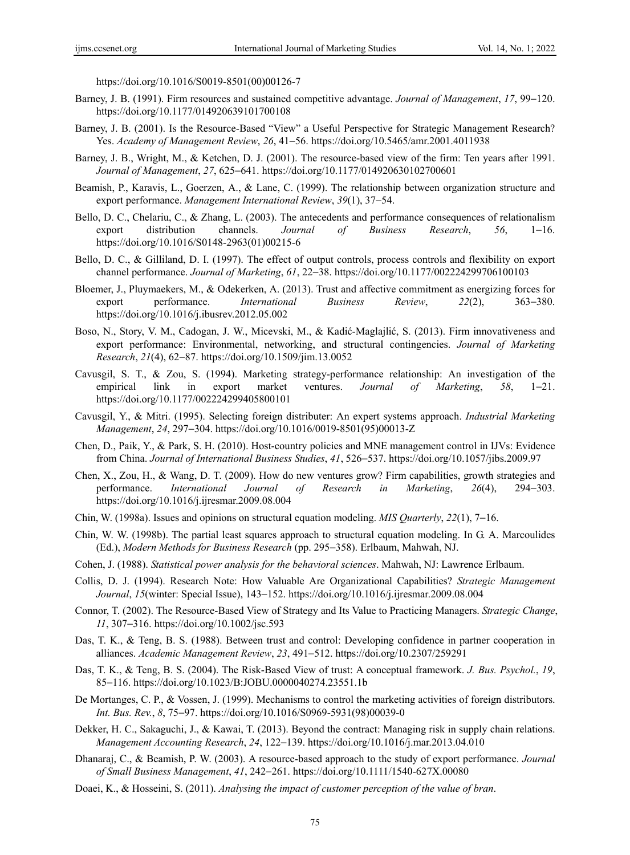https://doi.org/10.1016/S0019-8501(00)00126-7

- Barney, J. B. (1991). Firm resources and sustained competitive advantage. *Journal of Management*, *17*, 99−120. https://doi.org/10.1177/014920639101700108
- Barney, J. B. (2001). Is the Resource-Based "View" a Useful Perspective for Strategic Management Research? Yes. *Academy of Management Review*, *26*, 41−56. https://doi.org/10.5465/amr.2001.4011938
- Barney, J. B., Wright, M., & Ketchen, D. J. (2001). The resource-based view of the firm: Ten years after 1991. *Journal of Management*, *27*, 625−641. https://doi.org/10.1177/014920630102700601
- Beamish, P., Karavis, L., Goerzen, A., & Lane, C. (1999). The relationship between organization structure and export performance. *Management International Review*, *39*(1), 37−54.
- Bello, D. C., Chelariu, C., & Zhang, L. (2003). The antecedents and performance consequences of relationalism export distribution channels. *Journal of Business Research*, *56*, 1−16. https://doi.org/10.1016/S0148-2963(01)00215-6
- Bello, D. C., & Gilliland, D. I. (1997). The effect of output controls, process controls and flexibility on export channel performance. *Journal of Marketing*, *61*, 22−38. https://doi.org/10.1177/002224299706100103
- Bloemer, J., Pluymaekers, M., & Odekerken, A. (2013). Trust and affective commitment as energizing forces for export performance. *International Business Review*, *22*(2), 363−380. https://doi.org/10.1016/j.ibusrev.2012.05.002
- Boso, N., Story, V. M., Cadogan, J. W., Micevski, M., & Kadić-Maglajlić, S. (2013). Firm innovativeness and export performance: Environmental, networking, and structural contingencies. *Journal of Marketing Research*, *21*(4), 62−87. https://doi.org/10.1509/jim.13.0052
- Cavusgil, S. T., & Zou, S. (1994). Marketing strategy-performance relationship: An investigation of the empirical link in export market ventures. *Journal of Marketing*, *58*, 1−21. https://doi.org/10.1177/002224299405800101
- Cavusgil, Y., & Mitri. (1995). Selecting foreign distributer: An expert systems approach. *Industrial Marketing Management*, *24*, 297−304. https://doi.org/10.1016/0019-8501(95)00013-Z
- Chen, D., Paik, Y., & Park, S. H. (2010). Host-country policies and MNE management control in IJVs: Evidence from China. *Journal of International Business Studies*, *41*, 526−537. https://doi.org/10.1057/jibs.2009.97
- Chen, X., Zou, H., & Wang, D. T. (2009). How do new ventures grow? Firm capabilities, growth strategies and performance. *International Journal of Research in Marketing*, *26*(4), 294−303. https://doi.org/10.1016/j.ijresmar.2009.08.004
- Chin, W. (1998a). Issues and opinions on structural equation modeling. *MIS Quarterly*, *22*(1), 7−16.
- Chin, W. W. (1998b). The partial least squares approach to structural equation modeling. In G. A. Marcoulides (Ed.), *Modern Methods for Business Research* (pp. 295−358). Erlbaum, Mahwah, NJ.
- Cohen, J. (1988). *Statistical power analysis for the behavioral sciences*. Mahwah, NJ: Lawrence Erlbaum.
- Collis, D. J. (1994). Research Note: How Valuable Are Organizational Capabilities? *Strategic Management Journal*, *15*(winter: Special Issue), 143−152. https://doi.org/10.1016/j.ijresmar.2009.08.004
- Connor, T. (2002). The Resource-Based View of Strategy and Its Value to Practicing Managers. *Strategic Change*, *11*, 307−316. https://doi.org/10.1002/jsc.593
- Das, T. K., & Teng, B. S. (1988). Between trust and control: Developing confidence in partner cooperation in alliances. *Academic Management Review*, *23*, 491−512. https://doi.org/10.2307/259291
- Das, T. K., & Teng, B. S. (2004). The Risk-Based View of trust: A conceptual framework. *J. Bus. Psychol.*, *19*, 85−116. https://doi.org/10.1023/B:JOBU.0000040274.23551.1b
- De Mortanges, C. P., & Vossen, J. (1999). Mechanisms to control the marketing activities of foreign distributors. *Int. Bus. Rev.*, *8*, 75−97. https://doi.org/10.1016/S0969-5931(98)00039-0
- Dekker, H. C., Sakaguchi, J., & Kawai, T. (2013). Beyond the contract: Managing risk in supply chain relations. *Management Accounting Research*, *24*, 122−139. https://doi.org/10.1016/j.mar.2013.04.010
- Dhanaraj, C., & Beamish, P. W. (2003). A resource-based approach to the study of export performance. *Journal of Small Business Management*, *41*, 242−261. https://doi.org/10.1111/1540-627X.00080
- Doaei, K., & Hosseini, S. (2011). *Analysing the impact of customer perception of the value of bran*.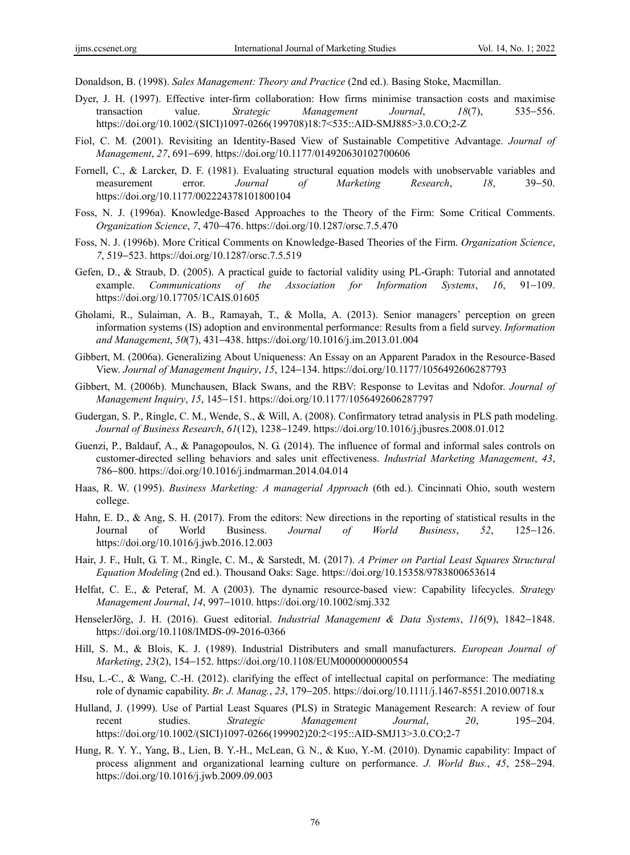Donaldson, B. (1998). *Sales Management: Theory and Practice* (2nd ed.). Basing Stoke, Macmillan.

- Dyer, J. H. (1997). Effective inter-firm collaboration: How firms minimise transaction costs and maximise transaction value. *Strategic Management Journal*, *18*(7), 535−556. https://doi.org/10.1002/(SICI)1097-0266(199708)18:7<535::AID-SMJ885>3.0.CO;2-Z
- Fiol, C. M. (2001). Revisiting an Identity-Based View of Sustainable Competitive Advantage. *Journal of Management*, *27*, 691−699. https://doi.org/10.1177/014920630102700606
- Fornell, C., & Larcker, D. F. (1981). Evaluating structural equation models with unobservable variables and measurement error. *Journal of Marketing Research*, *18*, 39−50. https://doi.org/10.1177/002224378101800104
- Foss, N. J. (1996a). Knowledge-Based Approaches to the Theory of the Firm: Some Critical Comments. *Organization Science*, *7*, 470−476. https://doi.org/10.1287/orsc.7.5.470
- Foss, N. J. (1996b). More Critical Comments on Knowledge-Based Theories of the Firm. *Organization Science*, *7*, 519−523. https://doi.org/10.1287/orsc.7.5.519
- Gefen, D., & Straub, D. (2005). A practical guide to factorial validity using PL-Graph: Tutorial and annotated example. *Communications of the Association for Information Systems*, *16*, 91−109. https://doi.org/10.17705/1CAIS.01605
- Gholami, R., Sulaiman, A. B., Ramayah, T., & Molla, A. (2013). Senior managers' perception on green information systems (IS) adoption and environmental performance: Results from a field survey. *Information and Management*, *50*(7), 431−438. https://doi.org/10.1016/j.im.2013.01.004
- Gibbert, M. (2006a). Generalizing About Uniqueness: An Essay on an Apparent Paradox in the Resource-Based View. *Journal of Management Inquiry*, *15*, 124−134. https://doi.org/10.1177/1056492606287793
- Gibbert, M. (2006b). Munchausen, Black Swans, and the RBV: Response to Levitas and Ndofor. *Journal of Management Inquiry*, *15*, 145−151. https://doi.org/10.1177/1056492606287797
- Gudergan, S. P., Ringle, C. M., Wende, S., & Will, A. (2008). Confirmatory tetrad analysis in PLS path modeling. *Journal of Business Research*, *61*(12), 1238−1249. https://doi.org/10.1016/j.jbusres.2008.01.012
- Guenzi, P., Baldauf, A., & Panagopoulos, N. G. (2014). The influence of formal and informal sales controls on customer-directed selling behaviors and sales unit effectiveness. *Industrial Marketing Management*, *43*, 786−800. https://doi.org/10.1016/j.indmarman.2014.04.014
- Haas, R. W. (1995). *Business Marketing: A managerial Approach* (6th ed.). Cincinnati Ohio, south western college.
- Hahn, E. D., & Ang, S. H. (2017). From the editors: New directions in the reporting of statistical results in the Journal of World Business. *Journal of World Business*, *52*, 125−126. https://doi.org/10.1016/j.jwb.2016.12.003
- Hair, J. F., Hult, G. T. M., Ringle, C. M., & Sarstedt, M. (2017). *A Primer on Partial Least Squares Structural Equation Modeling* (2nd ed.). Thousand Oaks: Sage. https://doi.org/10.15358/9783800653614
- Helfat, C. E., & Peteraf, M. A (2003). The dynamic resource-based view: Capability lifecycles. *Strategy Management Journal*, *14*, 997−1010. https://doi.org/10.1002/smj.332
- HenselerJörg, J. H. (2016). Guest editorial. *Industrial Management & Data Systems*, *116*(9), 1842−1848. https://doi.org/10.1108/IMDS-09-2016-0366
- Hill, S. M., & Blois, K. J. (1989). Industrial Distributers and small manufacturers. *European Journal of Marketing*, *23*(2), 154−152. https://doi.org/10.1108/EUM0000000000554
- Hsu, L.-C., & Wang, C.-H. (2012). clarifying the effect of intellectual capital on performance: The mediating role of dynamic capability. *Br. J. Manag.*, *23*, 179−205. https://doi.org/10.1111/j.1467-8551.2010.00718.x
- Hulland, J. (1999). Use of Partial Least Squares (PLS) in Strategic Management Research: A review of four recent studies. *Strategic Management Journal*, *20*, 195−204. https://doi.org/10.1002/(SICI)1097-0266(199902)20:2<195::AID-SMJ13>3.0.CO;2-7
- Hung, R. Y. Y., Yang, B., Lien, B. Y.-H., McLean, G. N., & Kuo, Y.-M. (2010). Dynamic capability: Impact of process alignment and organizational learning culture on performance. *J. World Bus.*, *45*, 258−294. https://doi.org/10.1016/j.jwb.2009.09.003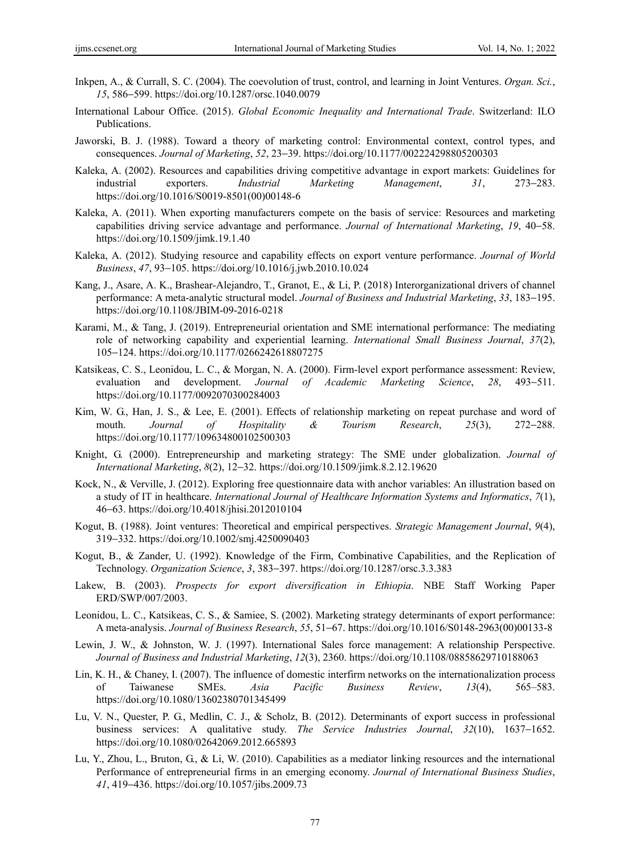- Inkpen, A., & Currall, S. C. (2004). The coevolution of trust, control, and learning in Joint Ventures. *Organ. Sci.*, *15*, 586−599. https://doi.org/10.1287/orsc.1040.0079
- International Labour Office. (2015). *Global Economic Inequality and International Trade*. Switzerland: ILO Publications.
- Jaworski, B. J. (1988). Toward a theory of marketing control: Environmental context, control types, and consequences. *Journal of Marketing*, *52*, 23−39. https://doi.org/10.1177/002224298805200303
- Kaleka, A. (2002). Resources and capabilities driving competitive advantage in export markets: Guidelines for industrial exporters. *Industrial Marketing Management*, *31*, 273−283. https://doi.org/10.1016/S0019-8501(00)00148-6
- Kaleka, A. (2011). When exporting manufacturers compete on the basis of service: Resources and marketing capabilities driving service advantage and performance. *Journal of International Marketing*, *19*, 40−58. https://doi.org/10.1509/jimk.19.1.40
- Kaleka, A. (2012). Studying resource and capability effects on export venture performance. *Journal of World Business*, *47*, 93−105. https://doi.org/10.1016/j.jwb.2010.10.024
- Kang, J., Asare, A. K., Brashear-Alejandro, T., Granot, E., & Li, P. (2018) Interorganizational drivers of channel performance: A meta-analytic structural model. *Journal of Business and Industrial Marketing*, *33*, 183−195. https://doi.org/10.1108/JBIM-09-2016-0218
- Karami, M., & Tang, J. (2019). Entrepreneurial orientation and SME international performance: The mediating role of networking capability and experiential learning. *International Small Business Journal*, *37*(2), 105−124. https://doi.org/10.1177/0266242618807275
- Katsikeas, C. S., Leonidou, L. C., & Morgan, N. A. (2000). Firm-level export performance assessment: Review, evaluation and development. *Journal of Academic Marketing Science*, *28*, 493−511. https://doi.org/10.1177/0092070300284003
- Kim, W. G., Han, J. S., & Lee, E. (2001). Effects of relationship marketing on repeat purchase and word of mouth. *Journal of Hospitality & Tourism Research*, *25*(3), 272−288. https://doi.org/10.1177/109634800102500303
- Knight, G. (2000). Entrepreneurship and marketing strategy: The SME under globalization. *Journal of International Marketing*, *8*(2), 12−32. https://doi.org/10.1509/jimk.8.2.12.19620
- Kock, N., & Verville, J. (2012). Exploring free questionnaire data with anchor variables: An illustration based on a study of IT in healthcare. *International Journal of Healthcare Information Systems and Informatics*, *7*(1), 46−63. https://doi.org/10.4018/jhisi.2012010104
- Kogut, B. (1988). Joint ventures: Theoretical and empirical perspectives. *Strategic Management Journal*, *9*(4), 319−332. https://doi.org/10.1002/smj.4250090403
- Kogut, B., & Zander, U. (1992). Knowledge of the Firm, Combinative Capabilities, and the Replication of Technology. *Organization Science*, *3*, 383−397. https://doi.org/10.1287/orsc.3.3.383
- Lakew, B. (2003). *Prospects for export diversification in Ethiopia*. NBE Staff Working Paper ERD/SWP/007/2003.
- Leonidou, L. C., Katsikeas, C. S., & Samiee, S. (2002). Marketing strategy determinants of export performance: A meta-analysis. *Journal of Business Research*, *55*, 51−67. https://doi.org/10.1016/S0148-2963(00)00133-8
- Lewin, J. W., & Johnston, W. J. (1997). International Sales force management: A relationship Perspective. *Journal of Business and Industrial Marketing*, *12*(3), 2360. https://doi.org/10.1108/08858629710188063
- Lin, K. H., & Chaney, I. (2007). The influence of domestic interfirm networks on the internationalization process of Taiwanese SMEs. *Asia Pacific Business Review*, *13*(4), 565–583. https://doi.org/10.1080/13602380701345499
- Lu, V. N., Quester, P. G., Medlin, C. J., & Scholz, B. (2012). Determinants of export success in professional business services: A qualitative study. *The Service Industries Journal*, *32*(10), 1637−1652. https://doi.org/10.1080/02642069.2012.665893
- Lu, Y., Zhou, L., Bruton, G., & Li, W. (2010). Capabilities as a mediator linking resources and the international Performance of entrepreneurial firms in an emerging economy. *Journal of International Business Studies*, *41*, 419−436. https://doi.org/10.1057/jibs.2009.73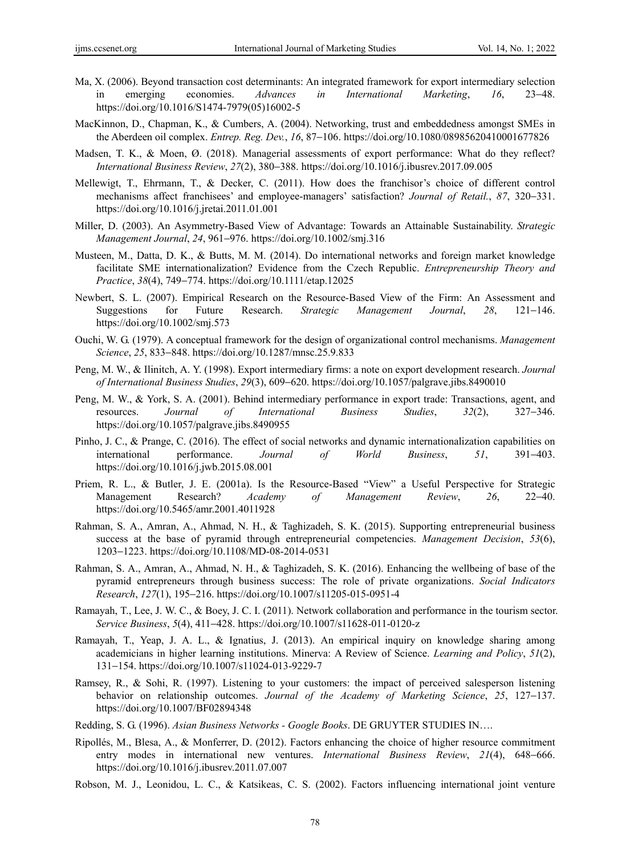- Ma, X. (2006). Beyond transaction cost determinants: An integrated framework for export intermediary selection in emerging economies. *Advances in International Marketing*, *16*, 23−48. https://doi.org/10.1016/S1474-7979(05)16002-5
- MacKinnon, D., Chapman, K., & Cumbers, A. (2004). Networking, trust and embeddedness amongst SMEs in the Aberdeen oil complex. *Entrep. Reg. Dev.*, *16*, 87−106. https://doi.org/10.1080/08985620410001677826
- Madsen, T. K., & Moen, Ø. (2018). Managerial assessments of export performance: What do they reflect? *International Business Review*, *27*(2), 380−388. https://doi.org/10.1016/j.ibusrev.2017.09.005
- Mellewigt, T., Ehrmann, T., & Decker, C. (2011). How does the franchisor's choice of different control mechanisms affect franchisees' and employee-managers' satisfaction? *Journal of Retail.*, *87*, 320−331. https://doi.org/10.1016/j.jretai.2011.01.001
- Miller, D. (2003). An Asymmetry-Based View of Advantage: Towards an Attainable Sustainability. *Strategic Management Journal*, *24*, 961−976. https://doi.org/10.1002/smj.316
- Musteen, M., Datta, D. K., & Butts, M. M. (2014). Do international networks and foreign market knowledge facilitate SME internationalization? Evidence from the Czech Republic. *Entrepreneurship Theory and Practice*, *38*(4), 749−774. https://doi.org/10.1111/etap.12025
- Newbert, S. L. (2007). Empirical Research on the Resource-Based View of the Firm: An Assessment and Suggestions for Future Research. *Strategic Management Journal*, *28*, 121−146. https://doi.org/10.1002/smj.573
- Ouchi, W. G. (1979). A conceptual framework for the design of organizational control mechanisms. *Management Science*, *25*, 833−848. https://doi.org/10.1287/mnsc.25.9.833
- Peng, M. W., & Ilinitch, A. Y. (1998). Export intermediary firms: a note on export development research. *Journal of International Business Studies*, *29*(3), 609−620. https://doi.org/10.1057/palgrave.jibs.8490010
- Peng, M. W., & York, S. A. (2001). Behind intermediary performance in export trade: Transactions, agent, and resources. *Journal of International Business Studies*, *32*(2), 327−346. https://doi.org/10.1057/palgrave.jibs.8490955
- Pinho, J. C., & Prange, C. (2016). The effect of social networks and dynamic internationalization capabilities on international performance. *Journal of World Business*, *51*, 391−403. https://doi.org/10.1016/j.jwb.2015.08.001
- Priem, R. L., & Butler, J. E. (2001a). Is the Resource-Based "View" a Useful Perspective for Strategic Management Research? *Academy of Management Review*, *26*, 22−40. https://doi.org/10.5465/amr.2001.4011928
- Rahman, S. A., Amran, A., Ahmad, N. H., & Taghizadeh, S. K. (2015). Supporting entrepreneurial business success at the base of pyramid through entrepreneurial competencies. *Management Decision*, *53*(6), 1203−1223. https://doi.org/10.1108/MD-08-2014-0531
- Rahman, S. A., Amran, A., Ahmad, N. H., & Taghizadeh, S. K. (2016). Enhancing the wellbeing of base of the pyramid entrepreneurs through business success: The role of private organizations. *Social Indicators Research*, *127*(1), 195−216. https://doi.org/10.1007/s11205-015-0951-4
- Ramayah, T., Lee, J. W. C., & Boey, J. C. I. (2011). Network collaboration and performance in the tourism sector. *Service Business*, *5*(4), 411−428. https://doi.org/10.1007/s11628-011-0120-z
- Ramayah, T., Yeap, J. A. L., & Ignatius, J. (2013). An empirical inquiry on knowledge sharing among academicians in higher learning institutions. Minerva: A Review of Science. *Learning and Policy*, *51*(2), 131−154. https://doi.org/10.1007/s11024-013-9229-7
- Ramsey, R., & Sohi, R. (1997). Listening to your customers: the impact of perceived salesperson listening behavior on relationship outcomes. *Journal of the Academy of Marketing Science*, *25*, 127−137. https://doi.org/10.1007/BF02894348
- Redding, S. G. (1996). *Asian Business Networks Google Books*. DE GRUYTER STUDIES IN….
- Ripollés, M., Blesa, A., & Monferrer, D. (2012). Factors enhancing the choice of higher resource commitment entry modes in international new ventures. *International Business Review*, *21*(4), 648−666. https://doi.org/10.1016/j.ibusrev.2011.07.007
- Robson, M. J., Leonidou, L. C., & Katsikeas, C. S. (2002). Factors influencing international joint venture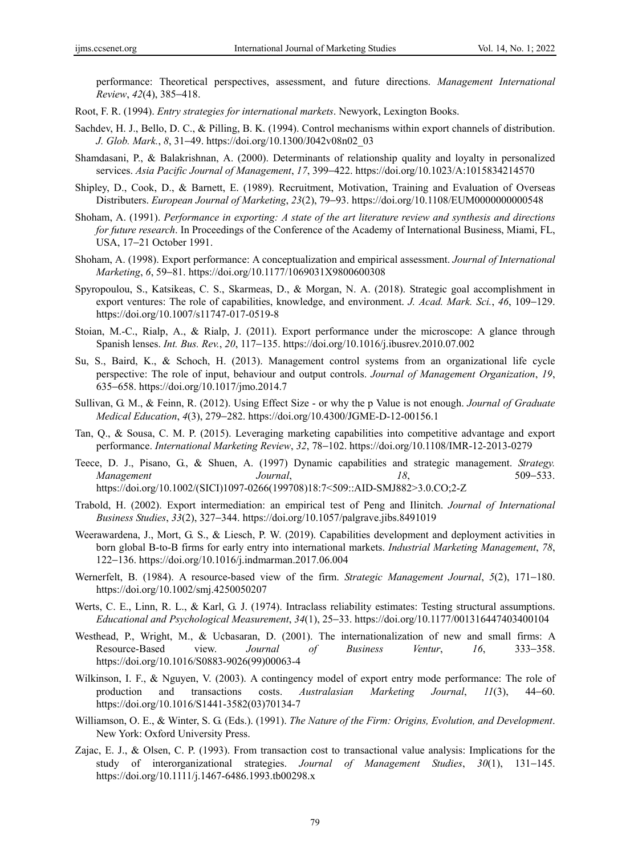performance: Theoretical perspectives, assessment, and future directions. *Management International Review*, *42*(4), 385−418.

- Root, F. R. (1994). *Entry strategies for international markets*. Newyork, Lexington Books.
- Sachdev, H. J., Bello, D. C., & Pilling, B. K. (1994). Control mechanisms within export channels of distribution. *J. Glob. Mark.*, *8*, 31–49. https://doi.org/10.1300/J042v08n02\_03
- Shamdasani, P., & Balakrishnan, A. (2000). Determinants of relationship quality and loyalty in personalized services. *Asia Pacific Journal of Management*, *17*, 399−422. https://doi.org/10.1023/A:1015834214570
- Shipley, D., Cook, D., & Barnett, E. (1989). Recruitment, Motivation, Training and Evaluation of Overseas Distributers. *European Journal of Marketing*, *23*(2), 79−93. https://doi.org/10.1108/EUM0000000000548
- Shoham, A. (1991). *Performance in exporting: A state of the art literature review and synthesis and directions for future research*. In Proceedings of the Conference of the Academy of International Business, Miami, FL, USA, 17−21 October 1991.
- Shoham, A. (1998). Export performance: A conceptualization and empirical assessment. *Journal of International Marketing*, *6*, 59−81. https://doi.org/10.1177/1069031X9800600308
- Spyropoulou, S., Katsikeas, C. S., Skarmeas, D., & Morgan, N. A. (2018). Strategic goal accomplishment in export ventures: The role of capabilities, knowledge, and environment. *J. Acad. Mark. Sci.*, *46*, 109−129. https://doi.org/10.1007/s11747-017-0519-8
- Stoian, M.-C., Rialp, A., & Rialp, J. (2011). Export performance under the microscope: A glance through Spanish lenses. *Int. Bus. Rev.*, *20*, 117−135. https://doi.org/10.1016/j.ibusrev.2010.07.002
- Su, S., Baird, K., & Schoch, H. (2013). Management control systems from an organizational life cycle perspective: The role of input, behaviour and output controls. *Journal of Management Organization*, *19*, 635−658. https://doi.org/10.1017/jmo.2014.7
- Sullivan, G. M., & Feinn, R. (2012). Using Effect Size or why the p Value is not enough. *Journal of Graduate Medical Education*, *4*(3), 279−282. https://doi.org/10.4300/JGME-D-12-00156.1
- Tan, Q., & Sousa, C. M. P. (2015). Leveraging marketing capabilities into competitive advantage and export performance. *International Marketing Review*, *32*, 78−102. https://doi.org/10.1108/IMR-12-2013-0279
- Teece, D. J., Pisano, G., & Shuen, A. (1997) Dynamic capabilities and strategic management. *Strategy. Management Journal*, *18*, 509−533. https://doi.org/10.1002/(SICI)1097-0266(199708)18:7<509::AID-SMJ882>3.0.CO;2-Z
- Trabold, H. (2002). Export intermediation: an empirical test of Peng and Ilinitch. *Journal of International Business Studies*, *33*(2), 327−344. https://doi.org/10.1057/palgrave.jibs.8491019
- Weerawardena, J., Mort, G. S., & Liesch, P. W. (2019). Capabilities development and deployment activities in born global B-to-B firms for early entry into international markets. *Industrial Marketing Management*, *78*, 122−136. https://doi.org/10.1016/j.indmarman.2017.06.004
- Wernerfelt, B. (1984). A resource-based view of the firm. *Strategic Management Journal*, *5*(2), 171−180. https://doi.org/10.1002/smj.4250050207
- Werts, C. E., Linn, R. L., & Karl, G. J. (1974). Intraclass reliability estimates: Testing structural assumptions. *Educational and Psychological Measurement*, *34*(1), 25−33. https://doi.org/10.1177/001316447403400104
- Westhead, P., Wright, M., & Ucbasaran, D. (2001). The internationalization of new and small firms: A Resource-Based view. *Journal of Business Ventur*, *16*, 333−358. https://doi.org/10.1016/S0883-9026(99)00063-4
- Wilkinson, I. F., & Nguyen, V. (2003). A contingency model of export entry mode performance: The role of production and transactions costs. *Australasian Marketing Journal*, *11*(3), 44−60. https://doi.org/10.1016/S1441-3582(03)70134-7
- Williamson, O. E., & Winter, S. G. (Eds.). (1991). *The Nature of the Firm: Origins, Evolution, and Development*. New York: Oxford University Press.
- Zajac, E. J., & Olsen, C. P. (1993). From transaction cost to transactional value analysis: Implications for the study of interorganizational strategies. *Journal of Management Studies*, *30*(1), 131−145. https://doi.org/10.1111/j.1467-6486.1993.tb00298.x